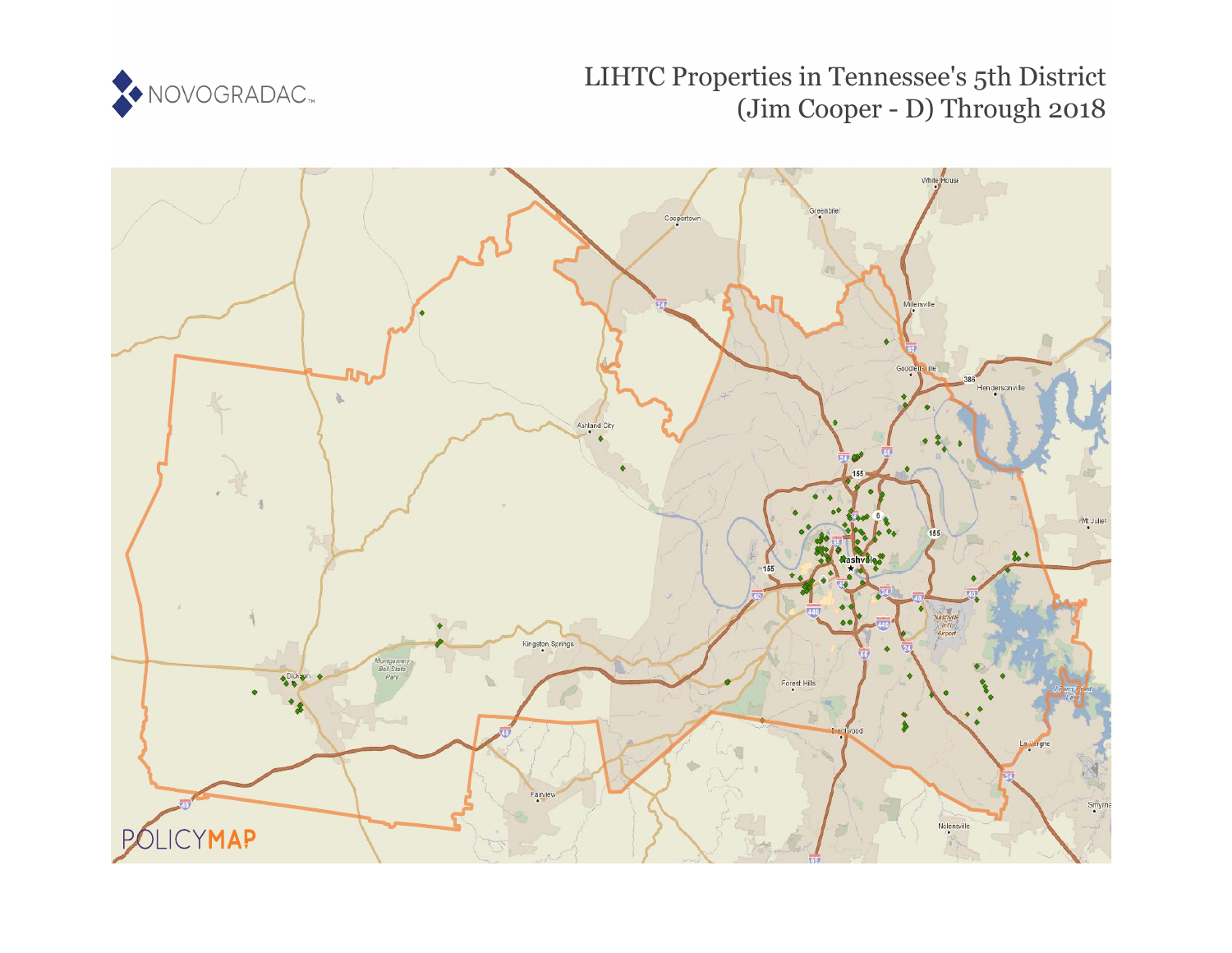

# LIHTC Properties in Tennessee's 5th District (Jim Cooper - D) Through 2018

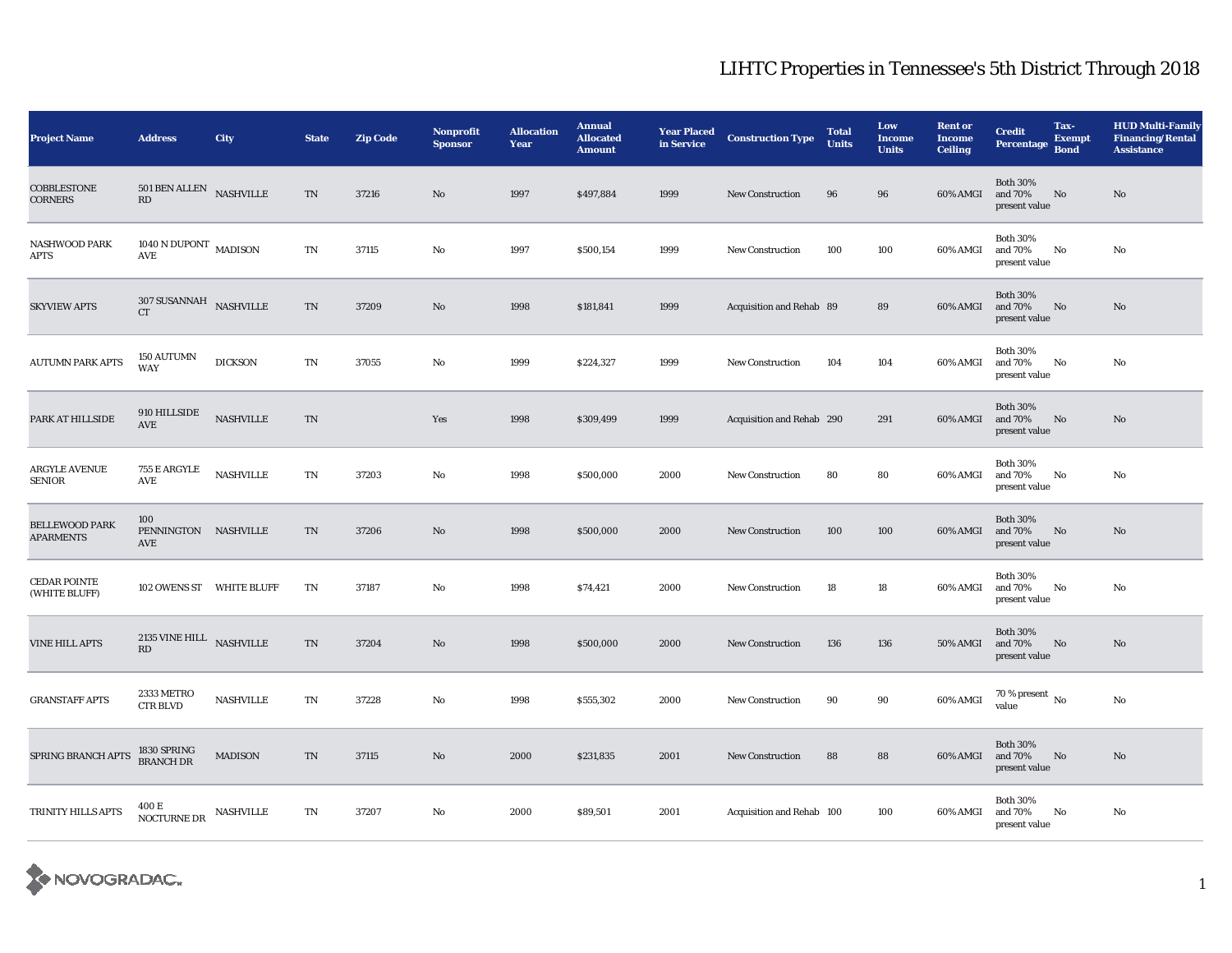| <b>Project Name</b>                       | <b>Address</b>                                                     | City                       | <b>State</b>            | <b>Zip Code</b> | <b>Nonprofit</b><br><b>Sponsor</b> | <b>Allocation</b><br>Year | <b>Annual</b><br><b>Allocated</b><br><b>Amount</b> | <b>Year Placed<br/>in Service</b> | <b>Construction Type</b>  | <b>Total</b><br><b>Units</b> | Low<br><b>Income</b><br><b>Units</b> | <b>Rent or</b><br><b>Income</b><br><b>Ceiling</b> | <b>Credit</b><br><b>Percentage</b>          | Tax-<br><b>Exempt</b><br><b>Bond</b> | <b>HUD Multi-Family</b><br><b>Financing/Rental</b><br><b>Assistance</b> |
|-------------------------------------------|--------------------------------------------------------------------|----------------------------|-------------------------|-----------------|------------------------------------|---------------------------|----------------------------------------------------|-----------------------------------|---------------------------|------------------------------|--------------------------------------|---------------------------------------------------|---------------------------------------------|--------------------------------------|-------------------------------------------------------------------------|
| <b>COBBLESTONE</b><br><b>CORNERS</b>      | 501 BEN ALLEN<br>RD                                                | <b>NASHVILLE</b>           | TN                      | 37216           | No                                 | 1997                      | \$497,884                                          | 1999                              | <b>New Construction</b>   | 96                           | 96                                   | 60% AMGI                                          | <b>Both 30%</b><br>and 70%<br>present value | No                                   | No                                                                      |
| <b>NASHWOOD PARK</b><br><b>APTS</b>       | $1040$ N DUPONT $\,$ MADISON $\,$<br>$\operatorname{\mathsf{AVE}}$ |                            | TN                      | 37115           | No                                 | 1997                      | \$500,154                                          | 1999                              | <b>New Construction</b>   | 100                          | 100                                  | 60% AMGI                                          | <b>Both 30%</b><br>and 70%<br>present value | No                                   | No                                                                      |
| <b>SKYVIEW APTS</b>                       | $307$ SUSANNAH $_{\,$ NASHVILLE<br><b>CT</b>                       |                            | TN                      | 37209           | $\mathbf{N}\mathbf{o}$             | 1998                      | \$181,841                                          | 1999                              | Acquisition and Rehab 89  |                              | 89                                   | 60% AMGI                                          | <b>Both 30%</b><br>and 70%<br>present value | No                                   | No                                                                      |
| <b>AUTUMN PARK APTS</b>                   | <b>150 AUTUMN</b><br><b>WAY</b>                                    | <b>DICKSON</b>             | TN                      | 37055           | No                                 | 1999                      | \$224,327                                          | 1999                              | <b>New Construction</b>   | 104                          | 104                                  | 60% AMGI                                          | <b>Both 30%</b><br>and 70%<br>present value | No                                   | No                                                                      |
| PARK AT HILLSIDE                          | 910 HILLSIDE<br>AVE                                                | $\operatorname{NASHVILLE}$ | TN                      |                 | Yes                                | 1998                      | \$309,499                                          | 1999                              | Acquisition and Rehab 290 |                              | 291                                  | 60% AMGI                                          | <b>Both 30%</b><br>and 70%<br>present value | $\mathbf{N}\mathbf{o}$               | No                                                                      |
| <b>ARGYLE AVENUE</b><br><b>SENIOR</b>     | 755 E ARGYLE<br>AVE                                                | <b>NASHVILLE</b>           | TN                      | 37203           | No                                 | 1998                      | \$500,000                                          | 2000                              | <b>New Construction</b>   | 80                           | 80                                   | 60% AMGI                                          | <b>Both 30%</b><br>and 70%<br>present value | No                                   | No                                                                      |
| <b>BELLEWOOD PARK</b><br><b>APARMENTS</b> | 100<br>PENNINGTON NASHVILLE<br>AVE                                 |                            | TN                      | 37206           | No                                 | 1998                      | \$500,000                                          | 2000                              | <b>New Construction</b>   | 100                          | 100                                  | 60% AMGI                                          | <b>Both 30%</b><br>and 70%<br>present value | No                                   | No                                                                      |
| CEDAR POINTE<br>(WHITE BLUFF)             | 102 OWENS ST WHITE BLUFF                                           |                            | TN                      | 37187           | No                                 | 1998                      | \$74,421                                           | 2000                              | <b>New Construction</b>   | 18                           | 18                                   | 60% AMGI                                          | <b>Both 30%</b><br>and 70%<br>present value | No                                   | No                                                                      |
| <b>VINE HILL APTS</b>                     | $2135$ VINE HILL $\;$ NASHVILLE<br>RD                              |                            | TN                      | 37204           | No                                 | 1998                      | \$500,000                                          | 2000                              | New Construction          | 136                          | 136                                  | <b>50% AMGI</b>                                   | <b>Both 30%</b><br>and 70%<br>present value | No                                   | No                                                                      |
| <b>GRANSTAFF APTS</b>                     | 2333 METRO<br><b>CTR BLVD</b>                                      | <b>NASHVILLE</b>           | $\mathbf{T} \mathbf{N}$ | 37228           | No                                 | 1998                      | \$555,302                                          | 2000                              | <b>New Construction</b>   | 90                           | 90                                   | 60% AMGI                                          | $70\,\%$ present $\,$ No value              |                                      | No                                                                      |
| SPRING BRANCH APTS                        | 1830 SPRING<br>BRANCH DR                                           | <b>MADISON</b>             | TN                      | 37115           | $\mathbf{N}\mathbf{o}$             | 2000                      | \$231,835                                          | 2001                              | <b>New Construction</b>   | 88                           | 88                                   | 60% AMGI                                          | <b>Both 30%</b><br>and 70%<br>present value | No                                   | No                                                                      |
| TRINITY HILLS APTS                        | $400\,\mathrm{E}$ NASHVILLE NOCTURNE DR                            |                            | TN                      | 37207           | No                                 | 2000                      | \$89,501                                           | 2001                              | Acquisition and Rehab 100 |                              | 100                                  | 60% AMGI                                          | <b>Both 30%</b><br>and 70%<br>present value | No                                   | No                                                                      |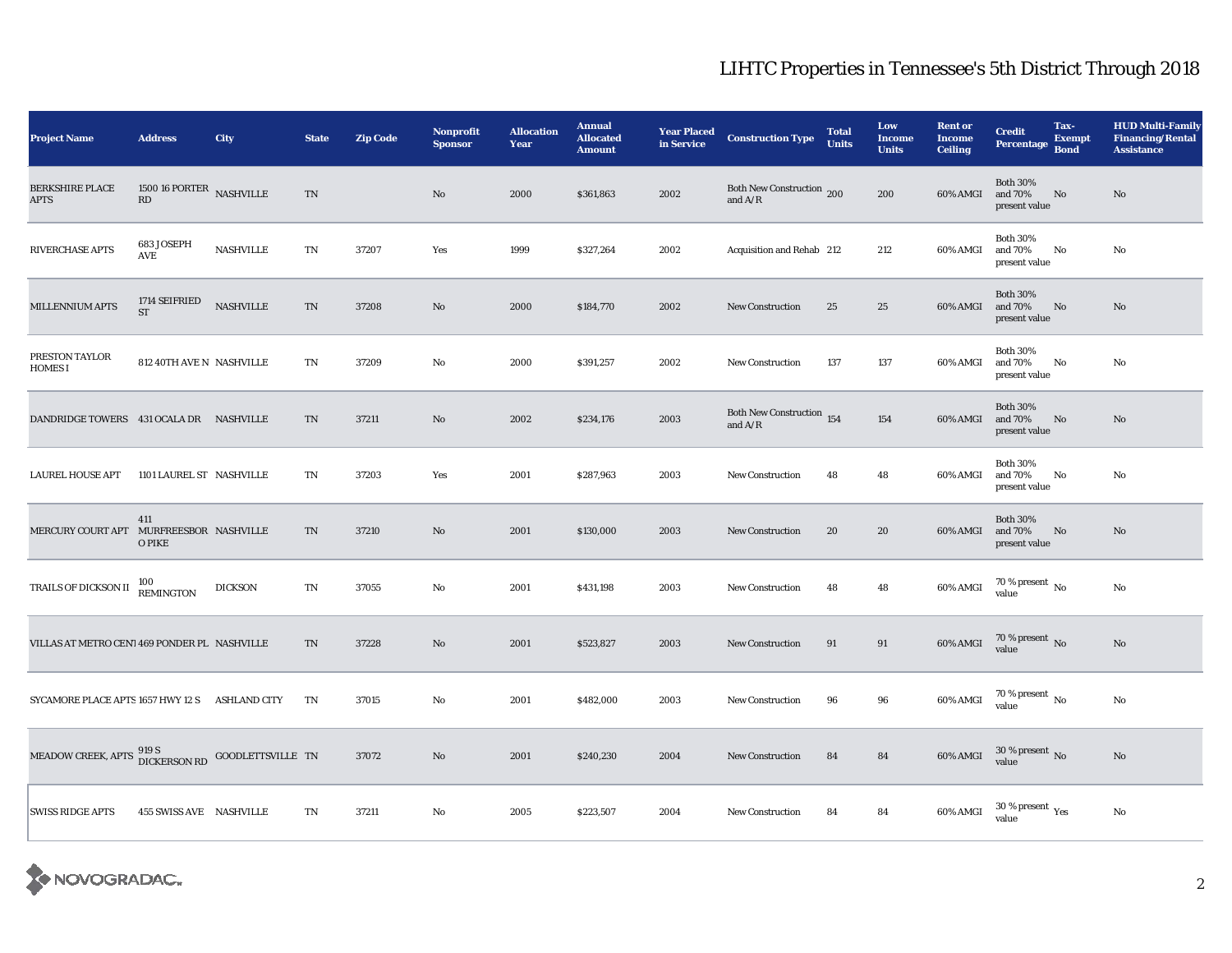| <b>Project Name</b>                               | <b>Address</b>                 | <b>City</b>      | <b>State</b> | <b>Zip Code</b> | <b>Nonprofit</b><br><b>Sponsor</b> | <b>Allocation</b><br>Year | <b>Annual</b><br><b>Allocated</b><br><b>Amount</b> | <b>Year Placed<br/>in Service</b> | <b>Construction Type</b>               | <b>Total</b><br><b>Units</b> | Low<br><b>Income</b><br><b>Units</b> | <b>Rent or</b><br><b>Income</b><br><b>Ceiling</b> | <b>Credit</b><br><b>Percentage</b>          | Tax-<br><b>Exempt</b><br><b>Bond</b> | <b>HUD Multi-Family</b><br><b>Financing/Rental</b><br><b>Assistance</b> |
|---------------------------------------------------|--------------------------------|------------------|--------------|-----------------|------------------------------------|---------------------------|----------------------------------------------------|-----------------------------------|----------------------------------------|------------------------------|--------------------------------------|---------------------------------------------------|---------------------------------------------|--------------------------------------|-------------------------------------------------------------------------|
| <b>BERKSHIRE PLACE</b><br><b>APTS</b>             | 1500 16 PORTER NASHVILLE<br>RD |                  | TN           |                 | $\mathbf{N}\mathbf{o}$             | 2000                      | \$361,863                                          | 2002                              | Both New Construction 200<br>and $A/R$ |                              | 200                                  | 60% AMGI                                          | <b>Both 30%</b><br>and 70%<br>present value | No                                   | $\rm No$                                                                |
| RIVERCHASE APTS                                   | 683 JOSEPH<br>AVE              | <b>NASHVILLE</b> | TN           | 37207           | Yes                                | 1999                      | \$327,264                                          | 2002                              | Acquisition and Rehab 212              |                              | 212                                  | 60% AMGI                                          | <b>Both 30%</b><br>and 70%<br>present value | No                                   | No                                                                      |
| MILLENNIUM APTS                                   | 1714 SEIFRIED<br><b>ST</b>     | <b>NASHVILLE</b> | $\rm TN$     | 37208           | $\rm No$                           | 2000                      | \$184,770                                          | 2002                              | <b>New Construction</b>                | 25                           | 25                                   | 60% AMGI                                          | <b>Both 30%</b><br>and 70%<br>present value | No                                   | $\mathbf{N}\mathbf{o}$                                                  |
| PRESTON TAYLOR<br><b>HOMES I</b>                  | 812 40TH AVE N NASHVILLE       |                  | TN           | 37209           | No                                 | 2000                      | \$391,257                                          | 2002                              | <b>New Construction</b>                | 137                          | 137                                  | 60% AMGI                                          | <b>Both 30%</b><br>and 70%<br>present value | No                                   | No                                                                      |
| DANDRIDGE TOWERS 431 OCALA DR NASHVILLE           |                                |                  | TN           | 37211           | No                                 | 2002                      | \$234,176                                          | 2003                              | Both New Construction 154<br>and $A/R$ |                              | 154                                  | 60% AMGI                                          | <b>Both 30%</b><br>and 70%<br>present value | No                                   | $\mathbf{N}\mathbf{o}$                                                  |
| <b>LAUREL HOUSE APT</b>                           | 1101 LAUREL ST NASHVILLE       |                  | TN           | 37203           | Yes                                | 2001                      | \$287,963                                          | 2003                              | <b>New Construction</b>                | 48                           | 48                                   | 60% AMGI                                          | <b>Both 30%</b><br>and 70%<br>present value | No                                   | $\rm No$                                                                |
| MERCURY COURT APT MURFREESBOR NASHVILLE           | 411<br>O PIKE                  |                  | TN           | 37210           | No.                                | 2001                      | \$130,000                                          | 2003                              | <b>New Construction</b>                | 20                           | 20                                   | 60% AMGI                                          | <b>Both 30%</b><br>and 70%<br>present value | No                                   | No                                                                      |
| TRAILS OF DICKSON II                              | $100\,$ REMINGTON              | <b>DICKSON</b>   | TN           | 37055           | No                                 | 2001                      | \$431,198                                          | 2003                              | <b>New Construction</b>                | 48                           | 48                                   | $60\%$ AMGI                                       | $70$ % present $\,$ No $\,$<br>value        |                                      | $\rm No$                                                                |
| VILLAS AT METRO CEN'I 469 PONDER PL NASHVILLE     |                                |                  | TN           | 37228           | No                                 | 2001                      | \$523,827                                          | 2003                              | <b>New Construction</b>                | 91                           | 91                                   | 60% AMGI                                          | $70\,\%$ present $\,$ No value              |                                      | $\mathbf{N}\mathbf{o}$                                                  |
| SYCAMORE PLACE APTS 1657 HWY 12 S ASHLAND CITY    |                                |                  | TN           | 37015           | No                                 | 2001                      | \$482,000                                          | 2003                              | <b>New Construction</b>                | 96                           | 96                                   | 60% AMGI                                          | $70\,\%$ present $\,$ No value              |                                      | No                                                                      |
| MEADOW CREEK, APTS DICKERSON RD GOODLETTSVILLE TN |                                |                  |              | 37072           | No                                 | 2001                      | \$240,230                                          | 2004                              | <b>New Construction</b>                | 84                           | 84                                   | 60% AMGI                                          | $30$ % present $\,$ No value                |                                      | $\rm No$                                                                |
| <b>SWISS RIDGE APTS</b>                           | 455 SWISS AVE NASHVILLE        |                  | TN           | 37211           | No                                 | 2005                      | \$223,507                                          | 2004                              | <b>New Construction</b>                | 84                           | 84                                   | 60% AMGI                                          | 30 % present $\rm\thinspace_{Yes}$<br>value |                                      | No                                                                      |

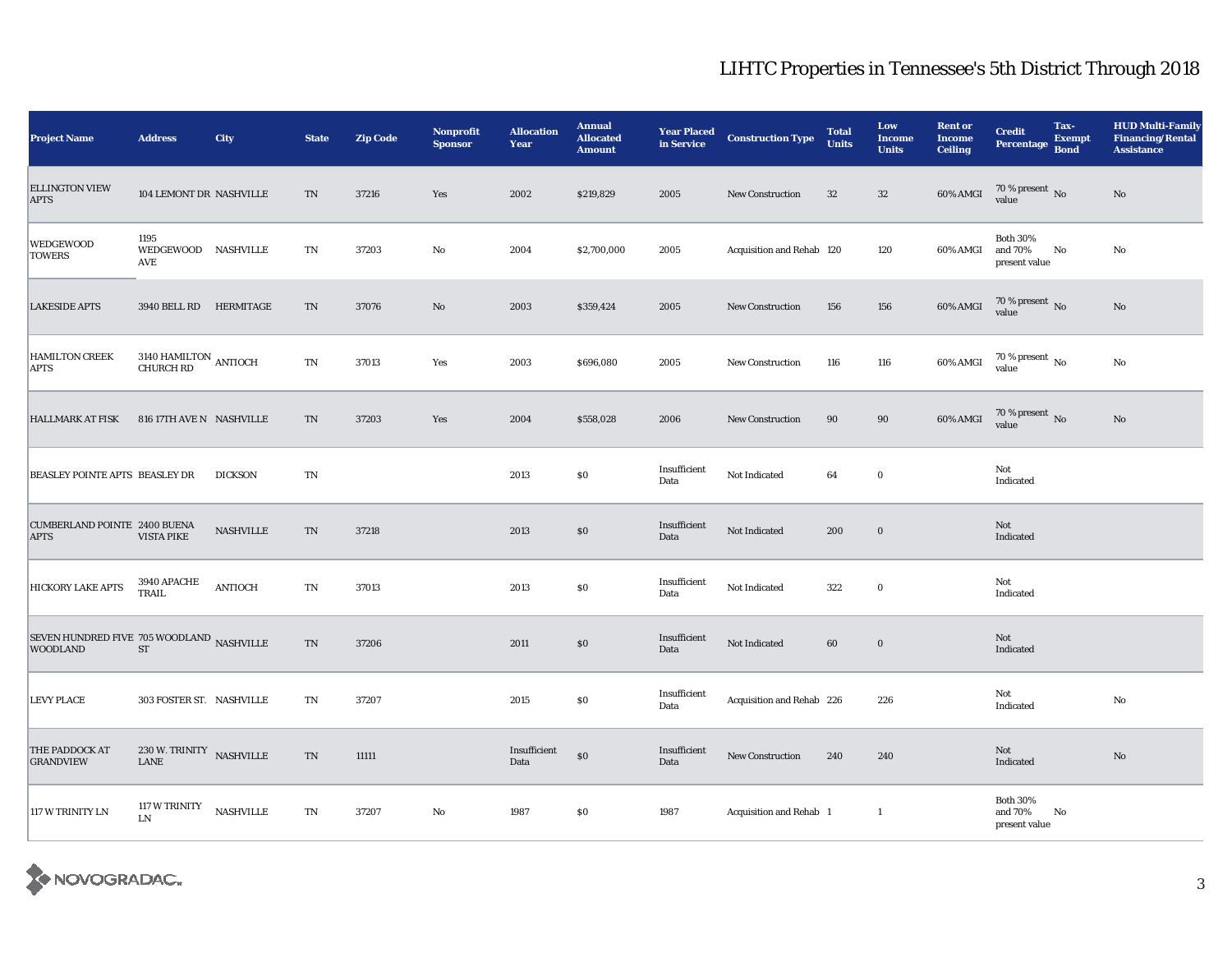| <b>Project Name</b>                                          | <b>Address</b>                                     | <b>City</b>      | <b>State</b> | <b>Zip Code</b> | <b>Nonprofit</b><br><b>Sponsor</b> | <b>Allocation</b><br>Year | <b>Annual</b><br><b>Allocated</b><br><b>Amount</b> | <b>Year Placed<br/>in Service</b> | <b>Construction Type</b>  | <b>Total</b><br><b>Units</b> | Low<br><b>Income</b><br><b>Units</b> | <b>Rent or</b><br><b>Income</b><br><b>Ceiling</b> | <b>Credit</b><br><b>Percentage</b>          | Tax-<br><b>Exempt</b><br><b>Bond</b> | <b>HUD Multi-Family</b><br><b>Financing/Rental</b><br><b>Assistance</b> |
|--------------------------------------------------------------|----------------------------------------------------|------------------|--------------|-----------------|------------------------------------|---------------------------|----------------------------------------------------|-----------------------------------|---------------------------|------------------------------|--------------------------------------|---------------------------------------------------|---------------------------------------------|--------------------------------------|-------------------------------------------------------------------------|
| <b>ELLINGTON VIEW</b><br><b>APTS</b>                         | 104 LEMONT DR NASHVILLE                            |                  | TN           | 37216           | Yes                                | 2002                      | \$219,829                                          | 2005                              | <b>New Construction</b>   | 32                           | $32\,$                               | 60% AMGI                                          | $70\,\%$ present $\,$ No value              |                                      | No                                                                      |
| WEDGEWOOD<br><b>TOWERS</b>                                   | 1195<br>WEDGEWOOD NASHVILLE<br>AVE                 |                  | TN           | 37203           | No                                 | 2004                      | \$2,700,000                                        | 2005                              | Acquisition and Rehab 120 |                              | 120                                  | 60% AMGI                                          | <b>Both 30%</b><br>and 70%<br>present value | No                                   | No                                                                      |
| <b>LAKESIDE APTS</b>                                         | 3940 BELL RD HERMITAGE                             |                  | TN           | 37076           | No                                 | 2003                      | \$359,424                                          | 2005                              | <b>New Construction</b>   | 156                          | 156                                  | 60% AMGI                                          | $70\,\%$ present $\,$ No value              |                                      | No                                                                      |
| <b>HAMILTON CREEK</b><br>APTS                                | 3140 HAMILTON ANTIOCH CHURCH RD                    |                  | TN           | 37013           | Yes                                | 2003                      | \$696,080                                          | 2005                              | <b>New Construction</b>   | 116                          | 116                                  | 60% AMGI                                          | $70\,\%$ present $_{\rm{No}}$               |                                      | No                                                                      |
| <b>HALLMARK AT FISK</b>                                      | 816 17TH AVE N NASHVILLE                           |                  | TN           | 37203           | Yes                                | 2004                      | \$558,028                                          | 2006                              | New Construction          | $90\,$                       | $90\,$                               | 60% AMGI                                          | $70\,\%$ present $\,$ No value              |                                      | $\rm No$                                                                |
| BEASLEY POINTE APTS BEASLEY DR                               |                                                    | <b>DICKSON</b>   | TN           |                 |                                    | 2013                      | \$0\$                                              | Insufficient<br>Data              | Not Indicated             | 64                           | $\bf{0}$                             |                                                   | Not<br>Indicated                            |                                      |                                                                         |
| <b>CUMBERLAND POINTE 2400 BUENA</b><br><b>APTS</b>           | <b>VISTA PIKE</b>                                  | <b>NASHVILLE</b> | TN           | 37218           |                                    | 2013                      | $\$0$                                              | Insufficient<br>Data              | Not Indicated             | 200                          | $\bf{0}$                             |                                                   | Not<br>Indicated                            |                                      |                                                                         |
| <b>HICKORY LAKE APTS</b>                                     | 3940 APACHE<br>TRAIL                               | <b>ANTIOCH</b>   | TN           | 37013           |                                    | 2013                      | $\$0$                                              | Insufficient<br>Data              | Not Indicated             | 322                          | $\bf{0}$                             |                                                   | Not<br>Indicated                            |                                      |                                                                         |
| SEVEN HUNDRED FIVE 705 WOODLAND NASHVILLE<br><b>WOODLAND</b> | ST                                                 |                  | TN           | 37206           |                                    | 2011                      | $\$0$                                              | Insufficient<br>Data              | Not Indicated             | 60                           | $\mathbf 0$                          |                                                   | Not<br>Indicated                            |                                      |                                                                         |
| <b>LEVY PLACE</b>                                            | 303 FOSTER ST. NASHVILLE                           |                  | TN           | 37207           |                                    | 2015                      | $\$0$                                              | Insufficient<br>Data              | Acquisition and Rehab 226 |                              | 226                                  |                                                   | Not<br>Indicated                            |                                      | $\mathbf{N}\mathbf{o}$                                                  |
| THE PADDOCK AT<br><b>GRANDVIEW</b>                           | $230$ W. TRINITY $\hfill$ NASHVILLE<br><b>LANE</b> |                  | TN           | 11111           |                                    | Insufficient<br>Data      | $\$0$                                              | Insufficient<br>Data              | New Construction          | 240                          | 240                                  |                                                   | Not<br>Indicated                            |                                      | $\mathbf{N}\mathbf{o}$                                                  |
| 117 W TRINITY LN                                             | <b>117 W TRINITY</b><br>LN                         | <b>NASHVILLE</b> | TN           | 37207           | No                                 | 1987                      | \$0                                                | 1987                              | Acquisition and Rehab 1   |                              | $\mathbf{1}$                         |                                                   | <b>Both 30%</b><br>and 70%<br>present value | No                                   |                                                                         |

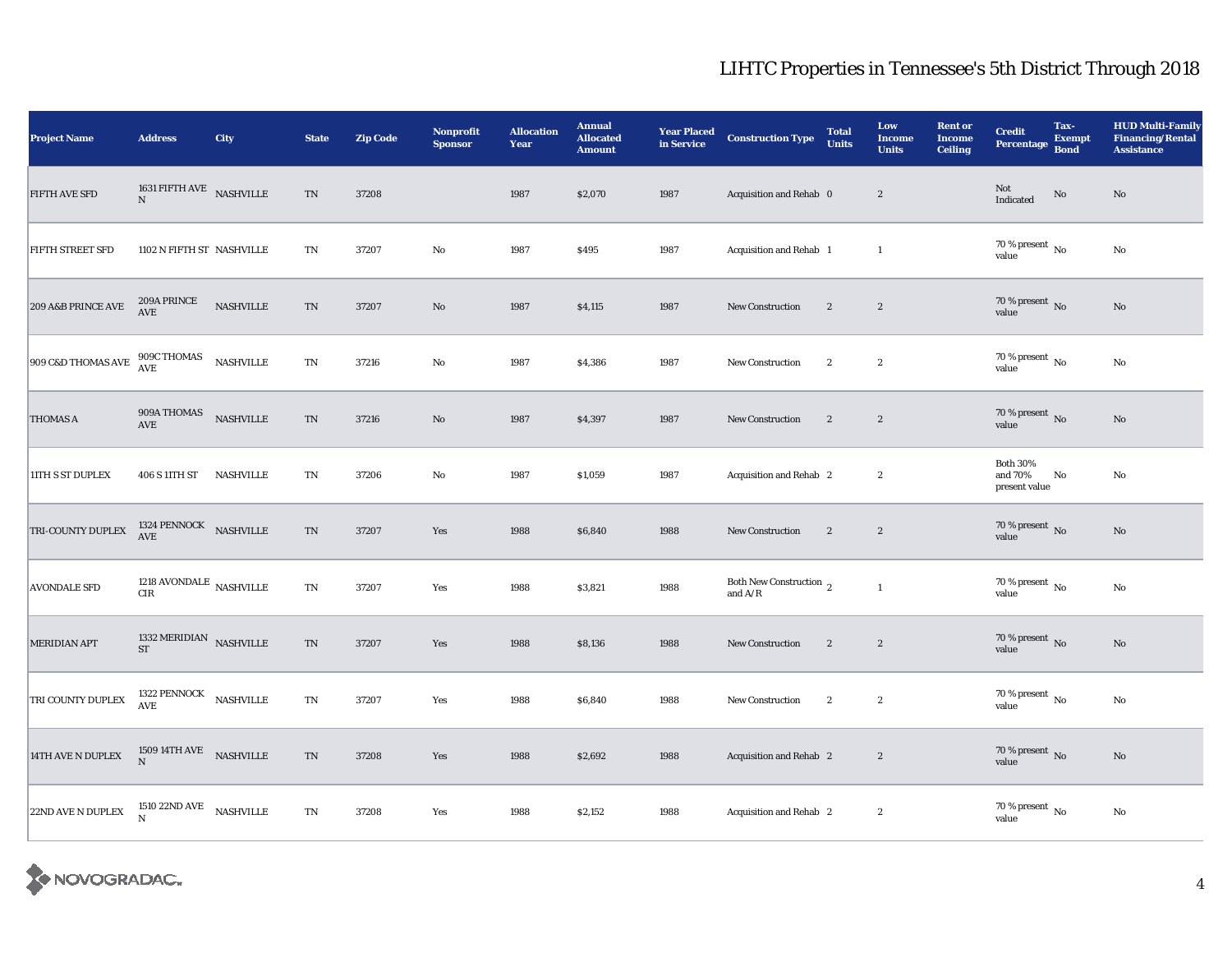| <b>Project Name</b>  | <b>Address</b>                              | <b>City</b>      | <b>State</b>               | <b>Zip Code</b> | <b>Nonprofit</b><br><b>Sponsor</b> | <b>Allocation</b><br>Year | <b>Annual</b><br><b>Allocated</b><br><b>Amount</b> | <b>Year Placed<br/>in Service</b> | <b>Construction Type</b>                      | <b>Total</b><br><b>Units</b> | Low<br><b>Income</b><br><b>Units</b> | <b>Rent or</b><br><b>Income</b><br><b>Ceiling</b> | <b>Credit</b><br><b>Percentage</b>             | Tax-<br><b>Exempt</b><br><b>Bond</b> | <b>HUD Multi-Family</b><br><b>Financing/Rental</b><br><b>Assistance</b> |
|----------------------|---------------------------------------------|------------------|----------------------------|-----------------|------------------------------------|---------------------------|----------------------------------------------------|-----------------------------------|-----------------------------------------------|------------------------------|--------------------------------------|---------------------------------------------------|------------------------------------------------|--------------------------------------|-------------------------------------------------------------------------|
| <b>FIFTH AVE SFD</b> | 1631 FIFTH AVE NASHVILLE<br>N               |                  | $\mathop{\rm TN}\nolimits$ | 37208           |                                    | 1987                      | \$2,070                                            | 1987                              | Acquisition and Rehab 0                       |                              | $\boldsymbol{2}$                     |                                                   | Not<br>Indicated                               | $\rm No$                             | $\rm No$                                                                |
| FIFTH STREET SFD     | 1102 N FIFTH ST NASHVILLE                   |                  | $\mathbf{T}\mathbf{N}$     | 37207           | $\rm No$                           | 1987                      | \$495                                              | 1987                              | Acquisition and Rehab 1                       |                              | $\mathbf{1}$                         |                                                   | $70\,\%$ present $\,$ No value                 |                                      | $\rm No$                                                                |
| 209 A&B PRINCE AVE   | $209\mathrm{A}\:\mathrm{PRINCE}$<br>AVE     | <b>NASHVILLE</b> | $\mathcal{T}\mathcal{N}$   | 37207           | No                                 | 1987                      | \$4,115                                            | 1987                              | <b>New Construction</b>                       | $\boldsymbol{2}$             | $\boldsymbol{2}$                     |                                                   | $70\,\%$ present $\,$ No value                 |                                      | $\rm No$                                                                |
| 909 C&D THOMAS AVE   | 909C THOMAS<br>AVE                          | <b>NASHVILLE</b> | $\mathbf{T}\mathbf{N}$     | 37216           | No                                 | 1987                      | \$4,386                                            | 1987                              | <b>New Construction</b>                       | $\mathbf{2}$                 | $\boldsymbol{2}$                     |                                                   | 70 % present $\,$ No $\,$<br>value             |                                      | $\rm No$                                                                |
| <b>THOMAS A</b>      | 909A THOMAS<br>AVE                          | NASHVILLE        | $\mathcal{T}\mathcal{N}$   | 37216           | $\rm\thinspace No$                 | 1987                      | \$4,397                                            | 1987                              | New Construction                              | $\mathbf{2}$                 | $\sqrt{2}$                           |                                                   | 70 % present $\,$ No $\,$<br>value             |                                      | $\rm No$                                                                |
| 11TH S ST DUPLEX     | 406 S 11TH ST                               | <b>NASHVILLE</b> | $\mathop{\rm TN}\nolimits$ | 37206           | $\mathbf{N}\mathbf{o}$             | 1987                      | \$1,059                                            | 1987                              | Acquisition and Rehab 2                       |                              | $\boldsymbol{2}$                     |                                                   | <b>Both 30%</b><br>and $70\%$<br>present value | No                                   | $\rm No$                                                                |
| TRI-COUNTY DUPLEX    | 1324 PENNOCK NASHVILLE AVE                  |                  | TN                         | 37207           | Yes                                | 1988                      | \$6,840                                            | 1988                              | New Construction                              | $\mathbf{2}$                 | $\boldsymbol{2}$                     |                                                   | $70\,\%$ present $\,$ No value                 |                                      | No                                                                      |
| <b>AVONDALE SFD</b>  | 1218 AVONDALE $\,$ NASHVILLE<br>${\rm CIR}$ |                  | $\mathbf{T}\mathbf{N}$     | 37207           | Yes                                | 1988                      | \$3,821                                            | 1988                              | Both New Construction $\,$ 2<br>and $\rm A/R$ |                              | $\mathbf{1}$                         |                                                   | 70 % present $\,$ No $\,$<br>value             |                                      | $\rm No$                                                                |
| MERIDIAN APT         | 1332 MERIDIAN NASHVILLE<br>ST               |                  | $\mathop{\rm TN}\nolimits$ | 37207           | Yes                                | 1988                      | \$8,136                                            | 1988                              | New Construction                              | $\overline{2}$               | $\mathbf{2}$                         |                                                   | $70\,\%$ present $\,$ No value                 |                                      | $\rm No$                                                                |
| TRI COUNTY DUPLEX    | 1322 PENNOCK NASHVILLE AVE                  |                  | $\mathbf{T}\mathbf{N}$     | 37207           | Yes                                | 1988                      | \$6,840                                            | 1988                              | New Construction                              | $\mathbf{2}$                 | $\boldsymbol{2}$                     |                                                   | 70 % present $\,$ No $\,$<br>value             |                                      | $\rm No$                                                                |
| 14TH AVE N DUPLEX    | $1509\,14\mathrm{TH\,AVE}$ NASHVILLE<br>N   |                  | TN                         | 37208           | Yes                                | 1988                      | \$2,692                                            | 1988                              | Acquisition and Rehab 2                       |                              | $\mathbf{2}$                         |                                                   | 70 % present $\,$ No $\,$<br>value             |                                      | $\mathbf{N}\mathbf{o}$                                                  |
| 22ND AVE N DUPLEX    | 1510 22ND AVE NASHVILLE<br>$\mathbf N$      |                  | $\rm TN$                   | 37208           | Yes                                | 1988                      | \$2,152                                            | 1988                              | Acquisition and Rehab 2                       |                              | $\mathbf{2}$                         |                                                   | $70\,\%$ present $\,$ No value                 |                                      | $\rm No$                                                                |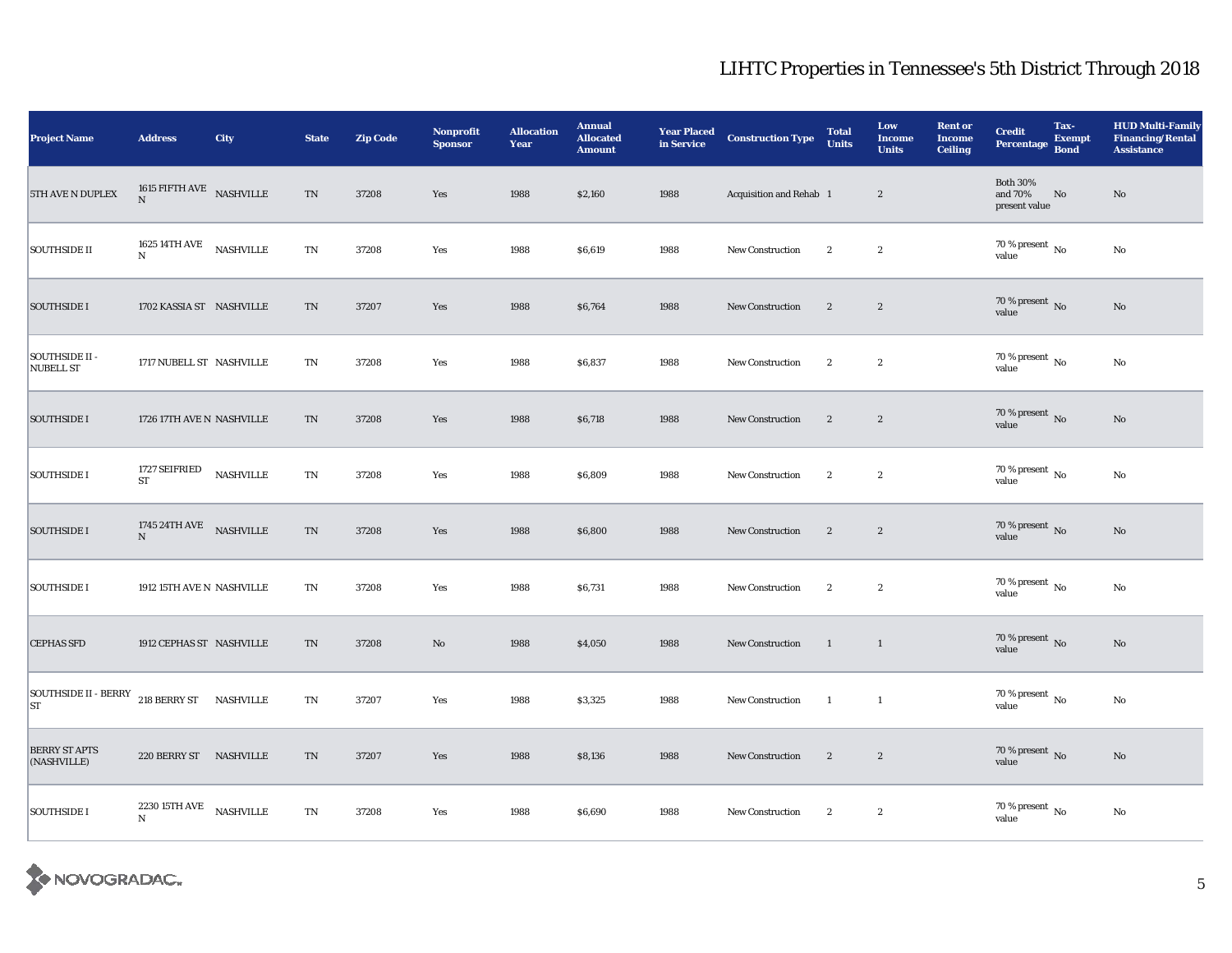| <b>Project Name</b>                       | <b>Address</b>                                                                | <b>City</b>      | <b>State</b>             | <b>Zip Code</b> | <b>Nonprofit</b><br><b>Sponsor</b> | <b>Allocation</b><br>Year | <b>Annual</b><br><b>Allocated</b><br><b>Amount</b> | <b>Year Placed<br/>in Service</b> | <b>Construction Type</b> | <b>Total</b><br><b>Units</b> | Low<br><b>Income</b><br><b>Units</b> | <b>Rent or</b><br><b>Income</b><br><b>Ceiling</b> | <b>Credit</b><br>Percentage                 | Tax-<br><b>Exempt</b><br><b>Bond</b> | <b>HUD Multi-Family</b><br><b>Financing/Rental</b><br><b>Assistance</b> |
|-------------------------------------------|-------------------------------------------------------------------------------|------------------|--------------------------|-----------------|------------------------------------|---------------------------|----------------------------------------------------|-----------------------------------|--------------------------|------------------------------|--------------------------------------|---------------------------------------------------|---------------------------------------------|--------------------------------------|-------------------------------------------------------------------------|
| 5TH AVE N DUPLEX                          | 1615 $\textrm{FIFTH}$ AVE $\,$ NASHVILLE<br>$\mathbf N$                       |                  | $\mathcal{T}\mathcal{N}$ | 37208           | Yes                                | 1988                      | \$2,160                                            | 1988                              | Acquisition and Rehab 1  |                              | $\boldsymbol{2}$                     |                                                   | <b>Both 30%</b><br>and 70%<br>present value | No                                   | No                                                                      |
| <b>SOUTHSIDE II</b>                       | 1625 14TH AVE<br>$\mathbf N$                                                  | <b>NASHVILLE</b> | $\mathbf{T}\mathbf{N}$   | 37208           | Yes                                | 1988                      | \$6,619                                            | 1988                              | <b>New Construction</b>  | $\boldsymbol{2}$             | $\boldsymbol{2}$                     |                                                   | $70\,\%$ present $\,$ No value              |                                      | No                                                                      |
| <b>SOUTHSIDE I</b>                        | 1702 KASSIA ST NASHVILLE                                                      |                  | TN                       | 37207           | Yes                                | 1988                      | \$6,764                                            | 1988                              | <b>New Construction</b>  | $\boldsymbol{2}$             | $\boldsymbol{2}$                     |                                                   | $70\,\%$ present $\,$ No value              |                                      | No                                                                      |
| <b>SOUTHSIDE II -</b><br><b>NUBELL ST</b> | 1717 NUBELL ST NASHVILLE                                                      |                  | $\mathbf{T}\mathbf{N}$   | 37208           | Yes                                | 1988                      | \$6,837                                            | 1988                              | New Construction         | $\boldsymbol{2}$             | $\boldsymbol{2}$                     |                                                   | 70 % present $\,$ No $\,$<br>value          |                                      | No                                                                      |
| <b>SOUTHSIDE I</b>                        | 1726 17TH AVE N NASHVILLE                                                     |                  | TN                       | 37208           | Yes                                | 1988                      | \$6,718                                            | 1988                              | <b>New Construction</b>  | $\mathbf{2}$                 | $\boldsymbol{2}$                     |                                                   | $70\,\%$ present $\,$ No value              |                                      | $\mathbf{N}\mathbf{o}$                                                  |
| <b>SOUTHSIDE I</b>                        | 1727 SEIFRIED<br><b>ST</b>                                                    | NASHVILLE        | $\rm TN$                 | 37208           | Yes                                | 1988                      | \$6,809                                            | 1988                              | <b>New Construction</b>  | $\boldsymbol{2}$             | $\boldsymbol{2}$                     |                                                   | $70\,\%$ present $\,$ No value              |                                      | $\rm No$                                                                |
| <b>SOUTHSIDE I</b>                        | 1745<br>24TH AVE $\begin{array}{ll} \text{NASHVILLE} \\ \text{N} \end{array}$ |                  | $\mbox{TN}$              | 37208           | Yes                                | 1988                      | \$6,800                                            | 1988                              | New Construction         | $\boldsymbol{2}$             | $\boldsymbol{2}$                     |                                                   | $70\,\%$ present $\,$ No value              |                                      | $\mathbf{N}\mathbf{o}$                                                  |
| <b>SOUTHSIDE I</b>                        | 1912 15TH AVE N NASHVILLE                                                     |                  | TN                       | 37208           | Yes                                | 1988                      | \$6,731                                            | 1988                              | New Construction         | $\boldsymbol{2}$             | $\boldsymbol{2}$                     |                                                   | 70 % present $\,$ No $\,$<br>value          |                                      | No                                                                      |
| <b>CEPHAS SFD</b>                         | 1912 CEPHAS ST NASHVILLE                                                      |                  | TN                       | 37208           | No                                 | 1988                      | \$4,050                                            | 1988                              | New Construction         | $\overline{1}$               | $\overline{1}$                       |                                                   | 70 % present $\,$ No $\,$<br>value          |                                      | $\mathbf{N}\mathbf{o}$                                                  |
| SOUTHSIDE II - BERRY<br><b>ST</b>         | 218 BERRY ST NASHVILLE                                                        |                  | $\mathbf{T}\mathbf{N}$   | 37207           | Yes                                | 1988                      | \$3,325                                            | 1988                              | <b>New Construction</b>  | $\blacksquare$               | $\mathbf{1}$                         |                                                   | $70\,\%$ present $\,$ No value              |                                      | $\rm\thinspace No$                                                      |
| <b>BERRY ST APTS</b><br>(NASHVILLE)       | 220 BERRY ST NASHVILLE                                                        |                  | TN                       | 37207           | Yes                                | 1988                      | \$8,136                                            | 1988                              | <b>New Construction</b>  | $\mathbf{2}$                 | $\boldsymbol{2}$                     |                                                   | $70\,\%$ present $\,$ No value              |                                      | $\rm No$                                                                |
| <b>SOUTHSIDE I</b>                        | $2230\,15 \mathrm{TH\, AVE}$ NASHVILLE<br>$\mathbf N$                         |                  | $\rm TN$                 | 37208           | Yes                                | 1988                      | \$6,690                                            | 1988                              | New Construction         | $\mathbf{2}$                 | $\boldsymbol{2}$                     |                                                   | $70\,\%$ present $\,$ No value              |                                      | $\rm No$                                                                |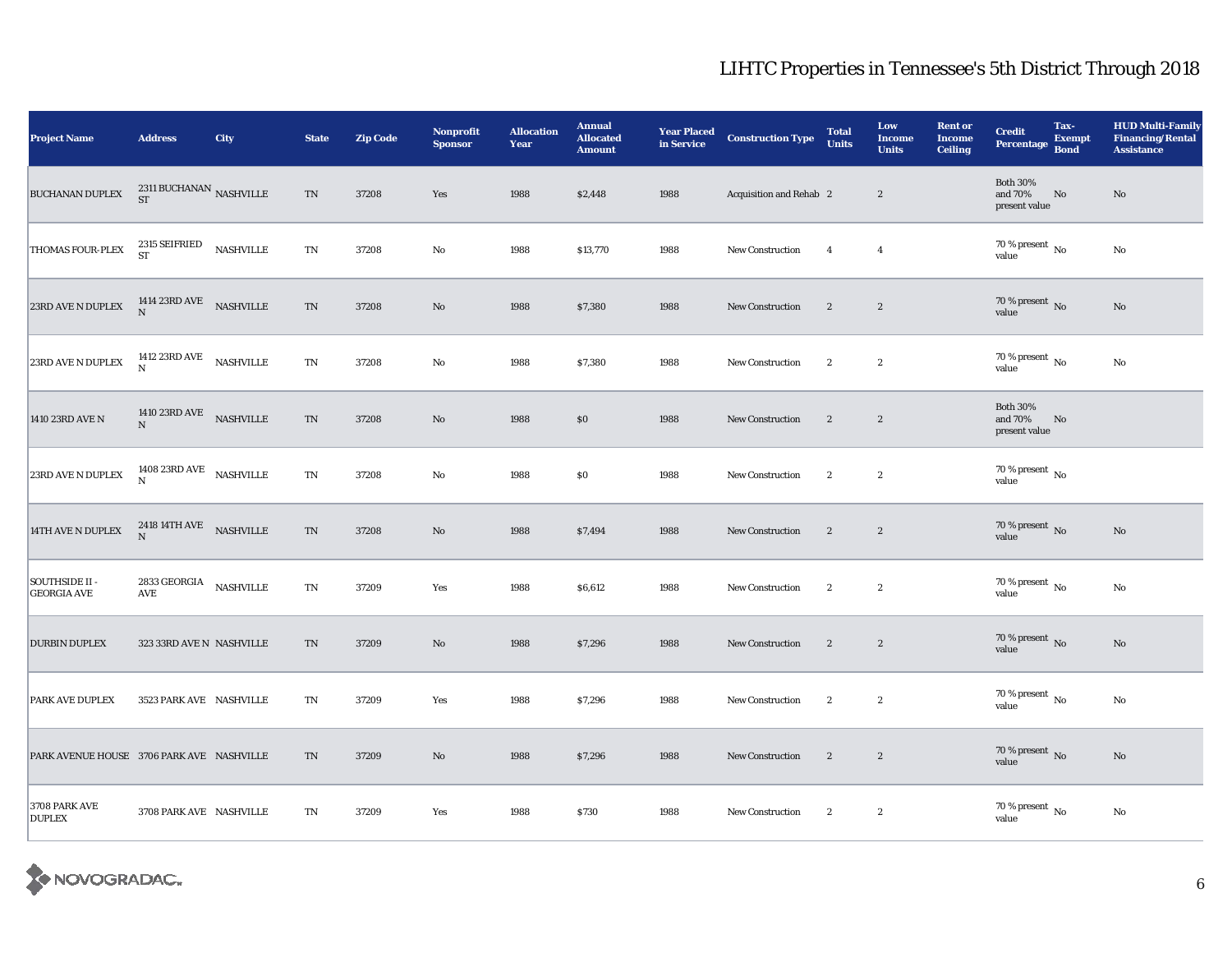| <b>Project Name</b>                       | <b>Address</b>                                          | <b>City</b>      | <b>State</b>             | <b>Zip Code</b> | <b>Nonprofit</b><br><b>Sponsor</b> | <b>Allocation</b><br>Year | <b>Annual</b><br><b>Allocated</b><br><b>Amount</b> | <b>Year Placed<br/>in Service</b> | <b>Construction Type</b> | <b>Total</b><br><b>Units</b> | Low<br><b>Income</b><br><b>Units</b> | <b>Rent or</b><br><b>Income</b><br><b>Ceiling</b> | <b>Credit</b><br>Percentage                 | Tax-<br><b>Exempt</b><br><b>Bond</b> | <b>HUD Multi-Family</b><br><b>Financing/Rental</b><br><b>Assistance</b> |
|-------------------------------------------|---------------------------------------------------------|------------------|--------------------------|-----------------|------------------------------------|---------------------------|----------------------------------------------------|-----------------------------------|--------------------------|------------------------------|--------------------------------------|---------------------------------------------------|---------------------------------------------|--------------------------------------|-------------------------------------------------------------------------|
| <b>BUCHANAN DUPLEX</b>                    | 2311 BUCHANAN $_{\rm NASHVILLE}$<br><b>ST</b>           |                  | $\rm TN$                 | 37208           | Yes                                | 1988                      | \$2,448                                            | 1988                              | Acquisition and Rehab 2  |                              | $\boldsymbol{2}$                     |                                                   | <b>Both 30%</b><br>and 70%<br>present value | No                                   | $\rm No$                                                                |
| THOMAS FOUR-PLEX                          | 2315 SEIFRIED<br><b>ST</b>                              | <b>NASHVILLE</b> | TN                       | 37208           | $\mathbf{N}\mathbf{o}$             | 1988                      | \$13,770                                           | 1988                              | <b>New Construction</b>  | $\overline{4}$               | $\overline{4}$                       |                                                   | $70\,\%$ present $\,$ No value              |                                      | $\rm No$                                                                |
| $23\mathrm{RD}$ AVE N DUPLEX              | 1414 23RD AVE NASHVILLE N                               |                  | $\mathcal{T}\mathcal{N}$ | 37208           | $\rm No$                           | 1988                      | \$7,380                                            | 1988                              | <b>New Construction</b>  | $\boldsymbol{2}$             | $\boldsymbol{2}$                     |                                                   | $70\,\%$ present $\,$ No value              |                                      | $\rm\thinspace No$                                                      |
| 23RD AVE N DUPLEX                         | 1412 23RD AVE NASHVILLE                                 |                  | $\mathbf{T}\mathbf{N}$   | 37208           | $\mathbf{No}$                      | 1988                      | \$7,380                                            | 1988                              | New Construction         | $\boldsymbol{2}$             | $\boldsymbol{2}$                     |                                                   | 70 % present $\hbox{~No}$<br>value          |                                      | No                                                                      |
| 1410 23RD AVE N                           | 1410 23RD AVE NASHVILLE<br>$\mathbf N$                  |                  | $\rm TN$                 | 37208           | No                                 | 1988                      | \$0                                                | 1988                              | <b>New Construction</b>  | $\mathbf{2}$                 | $\boldsymbol{2}$                     |                                                   | <b>Both 30%</b><br>and 70%<br>present value | No                                   |                                                                         |
| 23RD AVE N DUPLEX                         | 1408 23RD AVE NASHVILLE N                               |                  | $\mathbf{T}\mathbf{N}$   | 37208           | $\rm\thinspace No$                 | 1988                      | \$0                                                | 1988                              | New Construction         | $\boldsymbol{2}$             | $\boldsymbol{2}$                     |                                                   | 70 % present $\,$ No $\,$<br>value          |                                      |                                                                         |
| 14TH AVE N DUPLEX                         | 2418 14TH AVE NASHVILLE N                               |                  | $\rm TN$                 | 37208           | No                                 | 1988                      | \$7,494                                            | 1988                              | <b>New Construction</b>  | $\mathbf{2}$                 | $\mathbf{2}$                         |                                                   | $70\,\%$ present $\,$ No value              |                                      | No                                                                      |
| SOUTHSIDE II -<br><b>GEORGIA AVE</b>      | 2833 GEORGIA NASHVILLE<br>$\operatorname{\mathsf{AVE}}$ |                  | $\mathbf{T}\mathbf{N}$   | 37209           | Yes                                | 1988                      | \$6,612                                            | 1988                              | New Construction         | $\boldsymbol{2}$             | $\boldsymbol{2}$                     |                                                   | $70\,\%$ present $\,$ No value              |                                      | $\rm No$                                                                |
| <b>DURBIN DUPLEX</b>                      | 323 33RD AVE N NASHVILLE                                |                  | TN                       | 37209           | $\mathbf{N}\mathbf{o}$             | 1988                      | \$7,296                                            | 1988                              | New Construction         | $\mathbf{2}$                 | $\boldsymbol{2}$                     |                                                   | 70 % present $\,$ No $\,$<br>value          |                                      | $\mathbf{N}\mathbf{o}$                                                  |
| <b>PARK AVE DUPLEX</b>                    | 3523 PARK AVE NASHVILLE                                 |                  | TN                       | 37209           | Yes                                | 1988                      | \$7,296                                            | 1988                              | New Construction         | $\mathbf{2}$                 | $\boldsymbol{2}$                     |                                                   | $70\,\%$ present $\,$ No value              |                                      | $\rm\thinspace No$                                                      |
| PARK AVENUE HOUSE 3706 PARK AVE NASHVILLE |                                                         |                  | TN                       | 37209           | No                                 | 1988                      | \$7,296                                            | 1988                              | <b>New Construction</b>  | $\sqrt{2}$                   | $\boldsymbol{2}$                     |                                                   | $70\,\%$ present $\,$ No value              |                                      | $\rm No$                                                                |
| 3708 PARK AVE<br><b>DUPLEX</b>            | 3708 PARK AVE NASHVILLE                                 |                  | TN                       | 37209           | Yes                                | 1988                      | \$730                                              | 1988                              | <b>New Construction</b>  | $\boldsymbol{2}$             | $\boldsymbol{2}$                     |                                                   | $70$ % present $\,$ No value                |                                      | No                                                                      |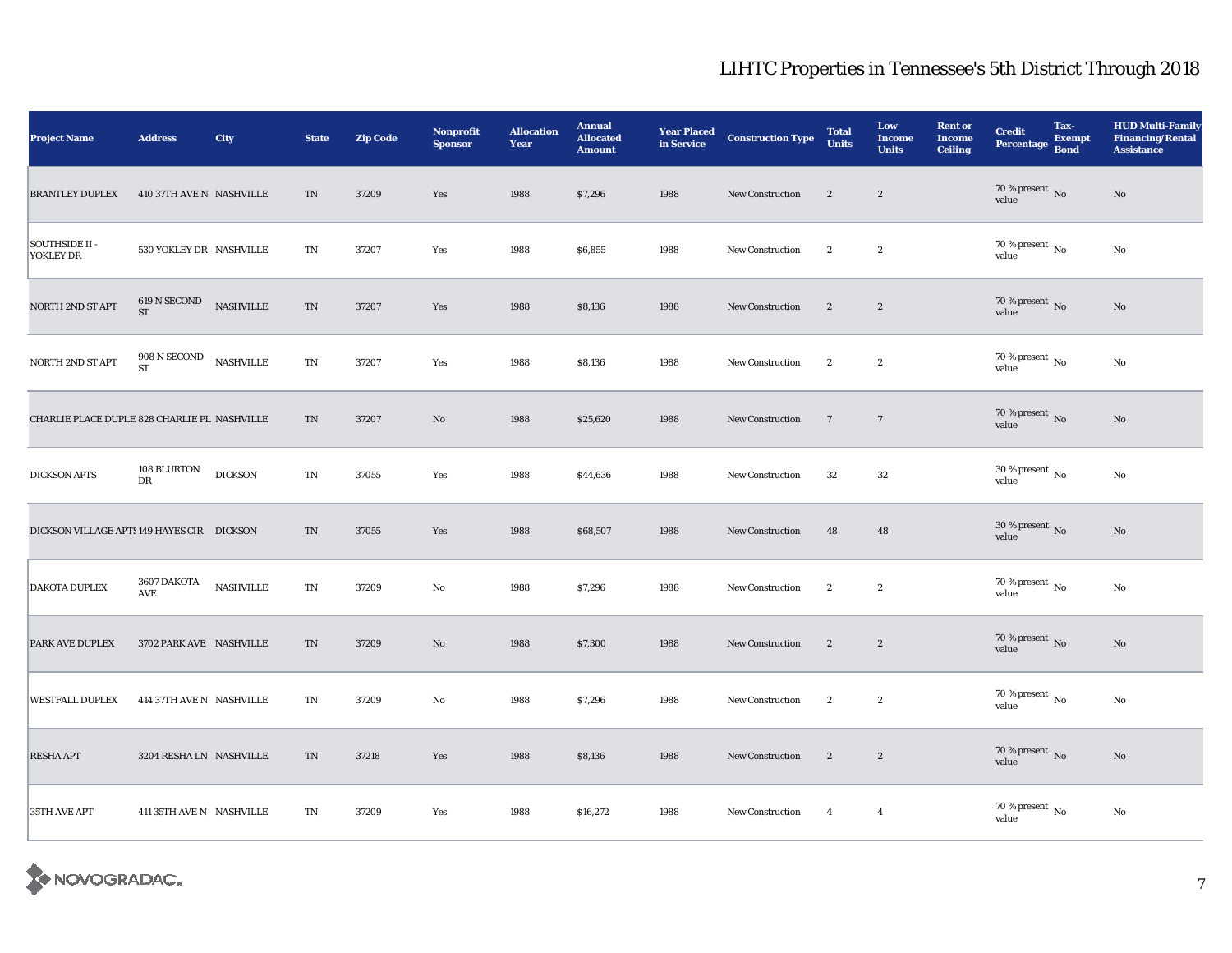| <b>Project Name</b>                          | <b>Address</b>              | City                                | <b>State</b> | <b>Zip Code</b> | <b>Nonprofit</b><br><b>Sponsor</b> | <b>Allocation</b><br>Year | <b>Annual</b><br><b>Allocated</b><br><b>Amount</b> | <b>Year Placed<br/>in Service</b> | <b>Construction Type</b> | <b>Total</b><br><b>Units</b> | Low<br><b>Income</b><br><b>Units</b> | <b>Rent or</b><br><b>Income</b><br><b>Ceiling</b> | <b>Credit</b><br><b>Percentage</b> | Tax-<br><b>Exempt</b><br><b>Bond</b> | <b>HUD Multi-Family</b><br><b>Financing/Rental</b><br><b>Assistance</b> |
|----------------------------------------------|-----------------------------|-------------------------------------|--------------|-----------------|------------------------------------|---------------------------|----------------------------------------------------|-----------------------------------|--------------------------|------------------------------|--------------------------------------|---------------------------------------------------|------------------------------------|--------------------------------------|-------------------------------------------------------------------------|
| <b>BRANTLEY DUPLEX</b>                       | 410 37TH AVE N NASHVILLE    |                                     | $\rm TN$     | 37209           | Yes                                | 1988                      | \$7,296                                            | 1988                              | <b>New Construction</b>  | $\boldsymbol{2}$             | $\boldsymbol{2}$                     |                                                   | 70 % present $\,$ No $\,$<br>value |                                      | $\rm No$                                                                |
| SOUTHSIDE II -<br>YOKLEY DR                  | 530 YOKLEY DR NASHVILLE     |                                     | TN           | 37207           | Yes                                | 1988                      | \$6,855                                            | 1988                              | <b>New Construction</b>  | $\boldsymbol{2}$             | $\boldsymbol{2}$                     |                                                   | $70\,\%$ present $\,$ No value     |                                      | No                                                                      |
| NORTH 2ND ST APT                             | $619$ N SECOND ST           | NASHVILLE                           | $\rm TN$     | 37207           | Yes                                | 1988                      | \$8,136                                            | 1988                              | <b>New Construction</b>  | $\mathbf{2}$                 | $\boldsymbol{2}$                     |                                                   | $70\,\%$ present $\,$ No value     |                                      | No                                                                      |
| NORTH 2ND ST APT                             | $908$ N SECOND<br><b>ST</b> | $\operatorname{\mathsf{NASHVILLE}}$ | TN           | 37207           | Yes                                | 1988                      | \$8,136                                            | 1988                              | New Construction         | $\mathbf{2}$                 | $\boldsymbol{2}$                     |                                                   | 70 % present $\hbox{~No}$<br>value |                                      | $\rm No$                                                                |
| CHARLIE PLACE DUPLE 828 CHARLIE PL NASHVILLE |                             |                                     | TN           | 37207           | No                                 | 1988                      | \$25,620                                           | 1988                              | New Construction         | $7\phantom{.0}$              | $\overline{7}$                       |                                                   | $70\,\%$ present $\,$ No value     |                                      | $\rm No$                                                                |
| <b>DICKSON APTS</b>                          | $108$ BLURTON $\,$<br>DR    | <b>DICKSON</b>                      | TN           | 37055           | Yes                                | 1988                      | \$44,636                                           | 1988                              | <b>New Construction</b>  | 32                           | $32\,$                               |                                                   | 30 % present $\,$ No $\,$<br>value |                                      | $\rm No$                                                                |
| DICKSON VILLAGE APTS 149 HAYES CIR DICKSON   |                             |                                     | $\rm TN$     | 37055           | Yes                                | 1988                      | \$68,507                                           | 1988                              | <b>New Construction</b>  | 48                           | 48                                   |                                                   | $30\,\%$ present $\,$ No value     |                                      | No                                                                      |
| <b>DAKOTA DUPLEX</b>                         | 3607 DAKOTA<br>AVE          | <b>NASHVILLE</b>                    | TN           | 37209           | No                                 | 1988                      | \$7,296                                            | 1988                              | New Construction         | $\mathbf{2}$                 | $\boldsymbol{2}$                     |                                                   | 70 % present $\,$ No $\,$<br>value |                                      | No                                                                      |
| <b>PARK AVE DUPLEX</b>                       | 3702 PARK AVE NASHVILLE     |                                     | TN           | 37209           | No                                 | 1988                      | \$7,300                                            | 1988                              | New Construction         | $\mathbf{2}$                 | $\mathbf{2}$                         |                                                   | 70 % present $\,$ No $\,$<br>value |                                      | No                                                                      |
| <b>WESTFALL DUPLEX</b>                       | 414 37TH AVE N NASHVILLE    |                                     | TN           | 37209           | No                                 | 1988                      | \$7,296                                            | 1988                              | <b>New Construction</b>  | $\mathbf{2}$                 | $\boldsymbol{2}$                     |                                                   | 70 % present $\,$ No $\,$<br>value |                                      | $\rm No$                                                                |
| <b>RESHA APT</b>                             | 3204 RESHA LN NASHVILLE     |                                     | TN           | 37218           | Yes                                | 1988                      | \$8,136                                            | 1988                              | <b>New Construction</b>  | $\mathbf{2}$                 | $\boldsymbol{2}$                     |                                                   | $70\,\%$ present $\,$ No value     |                                      | No                                                                      |
| 35TH AVE APT                                 | 411 35TH AVE N NASHVILLE    |                                     | TN           | 37209           | Yes                                | 1988                      | \$16,272                                           | 1988                              | <b>New Construction</b>  | $\overline{4}$               | $\overline{4}$                       |                                                   | 70 % present $\,$ No $\,$<br>value |                                      | No                                                                      |

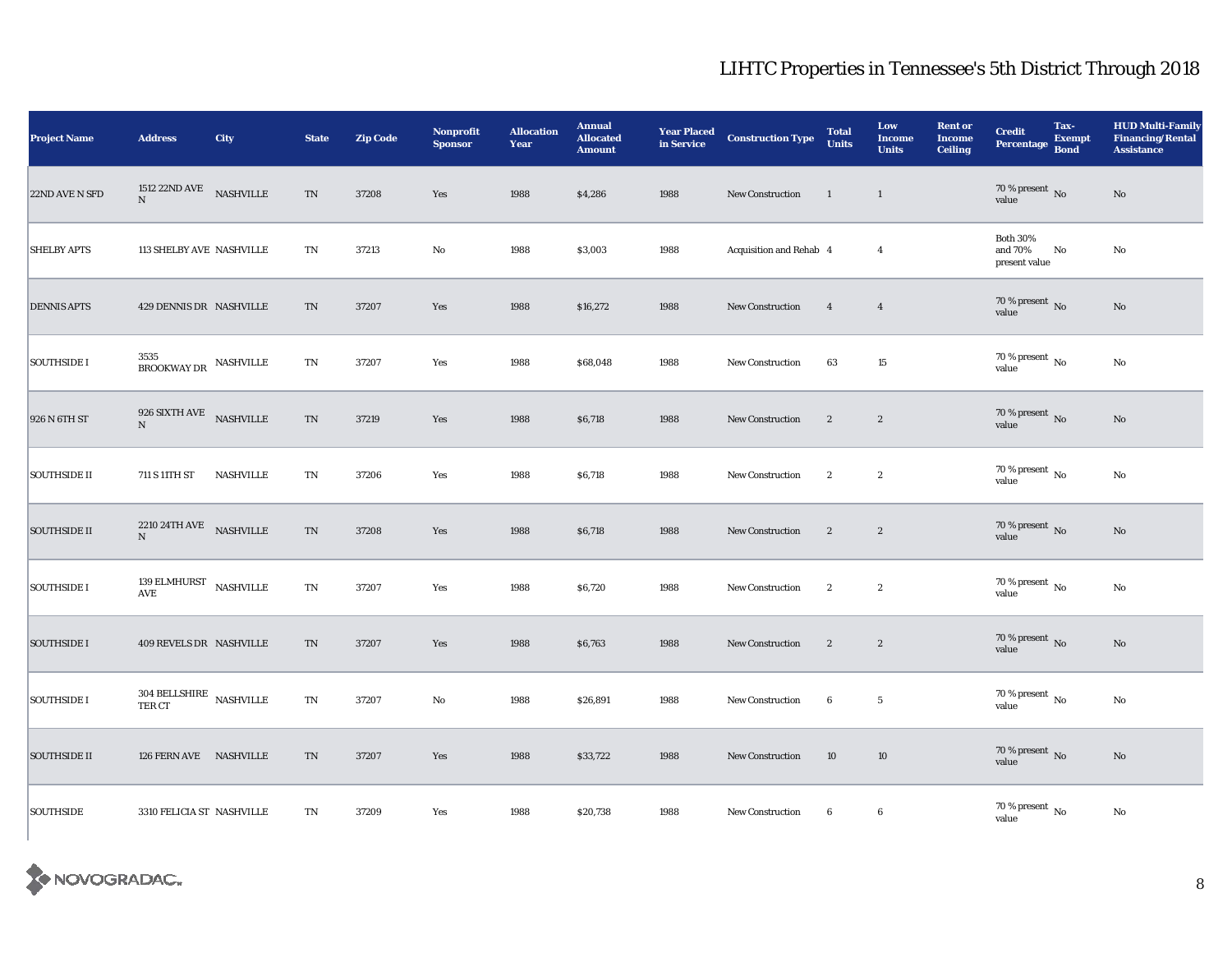| <b>Project Name</b> | <b>Address</b>                               | City             | <b>State</b>             | <b>Zip Code</b> | Nonprofit<br><b>Sponsor</b> | <b>Allocation</b><br>Year | <b>Annual</b><br><b>Allocated</b><br><b>Amount</b> |      | <b>Year Placed Construction Type</b><br>in Service <b>Construction</b> Type | <b>Total</b><br><b>Units</b> | Low<br><b>Income</b><br><b>Units</b> | <b>Rent or</b><br><b>Income</b><br><b>Ceiling</b> | <b>Credit</b><br><b>Percentage</b>          | Tax-<br><b>Exempt</b><br><b>Bond</b> | <b>HUD Multi-Family</b><br><b>Financing/Rental</b><br><b>Assistance</b> |
|---------------------|----------------------------------------------|------------------|--------------------------|-----------------|-----------------------------|---------------------------|----------------------------------------------------|------|-----------------------------------------------------------------------------|------------------------------|--------------------------------------|---------------------------------------------------|---------------------------------------------|--------------------------------------|-------------------------------------------------------------------------|
| 22ND AVE N SFD      | 1512 22ND AVE<br>N                           | <b>NASHVILLE</b> | $\mathcal{T}\mathcal{N}$ | 37208           | Yes                         | 1988                      | \$4,286                                            | 1988 | New Construction                                                            | $\overline{1}$               | $\mathbf{1}$                         |                                                   | $70\%$ present No<br>value                  |                                      | $\rm No$                                                                |
| <b>SHELBY APTS</b>  | 113 SHELBY AVE NASHVILLE                     |                  | $\mathbf{T}\mathbf{N}$   | 37213           | $\rm No$                    | 1988                      | \$3,003                                            | 1988 | Acquisition and Rehab 4                                                     |                              | $\overline{4}$                       |                                                   | <b>Both 30%</b><br>and 70%<br>present value | No                                   | No                                                                      |
| <b>DENNIS APTS</b>  | 429 DENNIS DR NASHVILLE                      |                  | TN                       | 37207           | Yes                         | 1988                      | \$16,272                                           | 1988 | New Construction                                                            | $\overline{4}$               | $\overline{4}$                       |                                                   | $70\,\%$ present $\,$ No value              |                                      | No                                                                      |
| <b>SOUTHSIDE I</b>  | $3535$ BROOKWAY DR $\,$ NASHVILLE            |                  | $\mathbf{T}\mathbf{N}$   | 37207           | Yes                         | 1988                      | \$68,048                                           | 1988 | <b>New Construction</b>                                                     | 63                           | 15                                   |                                                   | 70 % present $\,$ No $\,$<br>value          |                                      | No                                                                      |
| 926 N 6TH ST        | 926 SIXTH AVE $$\sf{NASHVILLE}\normalsize$ N |                  | $\mathcal{T}\mathcal{N}$ | 37219           | Yes                         | 1988                      | \$6,718                                            | 1988 | New Construction                                                            | $\mathbf{2}$                 | $\mathbf{2}$                         |                                                   | $70\,\%$ present $\,$ No value              |                                      | $\rm No$                                                                |
| <b>SOUTHSIDE II</b> | 711 S 11TH ST                                | NASHVILLE        | $\mathbf{T}\mathbf{N}$   | 37206           | Yes                         | 1988                      | \$6,718                                            | 1988 | New Construction                                                            | $\boldsymbol{2}$             | $\boldsymbol{2}$                     |                                                   | $70\,\%$ present $\,$ No value              |                                      | $\rm No$                                                                |
| <b>SOUTHSIDE II</b> | $2210\ 24\mathrm{TH\,AVE}$ NASHVILLE<br>N    |                  | $\mathcal{T}\mathcal{N}$ | 37208           | Yes                         | 1988                      | \$6,718                                            | 1988 | New Construction                                                            | $\mathbf{2}$                 | $\mathbf{2}$                         |                                                   | 70 % present $\,$ No $\,$<br>value          |                                      | No                                                                      |
| <b>SOUTHSIDE I</b>  | 139 ELMHURST $$\tt NASHville$$<br>AVE        |                  | $\mathbf{T}\mathbf{N}$   | 37207           | Yes                         | 1988                      | \$6,720                                            | 1988 | New Construction                                                            | $\mathbf{2}$                 | $\mathbf{2}$                         |                                                   | 70 % present $\,$ No $\,$<br>value          |                                      | No                                                                      |
| <b>SOUTHSIDE I</b>  | 409 REVELS DR NASHVILLE                      |                  | TN                       | 37207           | Yes                         | 1988                      | \$6,763                                            | 1988 | <b>New Construction</b>                                                     | $\mathbf{2}$                 | $\mathbf{2}$                         |                                                   | $70\,\%$ present $\,$ No value              |                                      | $\rm No$                                                                |
| <b>SOUTHSIDE I</b>  | $304$ BELLSHIRE $\,$ NASHVILLE TER CT        |                  | $\mathbf{T}\mathbf{N}$   | 37207           | No                          | 1988                      | \$26,891                                           | 1988 | <b>New Construction</b>                                                     | $6\phantom{.0}$              | $5\phantom{.0}$                      |                                                   | $70\,\%$ present $\,$ No value              |                                      | No                                                                      |
| <b>SOUTHSIDE II</b> | 126 FERN AVE NASHVILLE                       |                  | TN                       | 37207           | Yes                         | 1988                      | \$33,722                                           | 1988 | <b>New Construction</b>                                                     | 10                           | 10                                   |                                                   | $70\,\%$ present $\,$ No value              |                                      | No                                                                      |
| <b>SOUTHSIDE</b>    | 3310 FELICIA ST NASHVILLE                    |                  | $\mathbf{T}\mathbf{N}$   | 37209           | Yes                         | 1988                      | \$20,738                                           | 1988 | <b>New Construction</b>                                                     | $6\phantom{.0}$              | 6                                    |                                                   | $70\,\%$ present $\,$ No value              |                                      | No                                                                      |

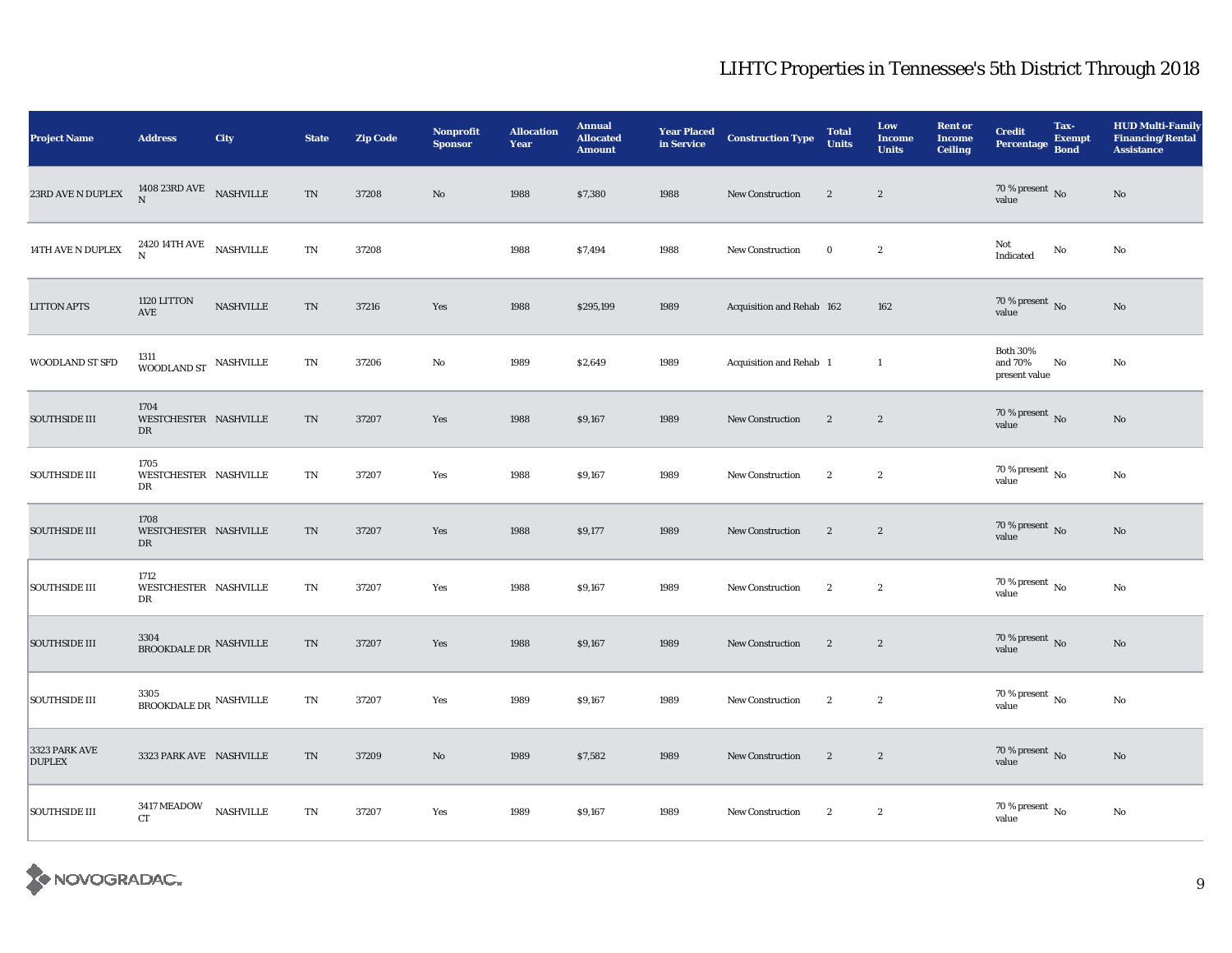| Project Name                   | <b>Address</b>                                            | City             | <b>State</b> | <b>Zip Code</b> | Nonprofit<br><b>Sponsor</b> | <b>Allocation</b><br>Year | <b>Annual</b><br><b>Allocated</b><br><b>Amount</b> | <b>Year Placed<br/>in Service</b> | <b>Construction Type</b>  | <b>Total</b><br><b>Units</b> | Low<br><b>Income</b><br><b>Units</b> | <b>Rent or</b><br><b>Income</b><br><b>Ceiling</b> | <b>Credit</b><br><b>Percentage</b>          | Tax-<br><b>Exempt</b><br><b>Bond</b> | <b>HUD Multi-Family</b><br><b>Financing/Rental</b><br><b>Assistance</b> |
|--------------------------------|-----------------------------------------------------------|------------------|--------------|-----------------|-----------------------------|---------------------------|----------------------------------------------------|-----------------------------------|---------------------------|------------------------------|--------------------------------------|---------------------------------------------------|---------------------------------------------|--------------------------------------|-------------------------------------------------------------------------|
| 23RD AVE N DUPLEX              | 1408 23RD AVE NASHVILLE<br>$\mathbf{N}$                   |                  | $\mbox{TN}$  | 37208           | No                          | 1988                      | \$7,380                                            | 1988                              | <b>New Construction</b>   | $\mathbf{2}$                 | $\sqrt{2}$                           |                                                   | $70\,\%$ present $\,$ No value              |                                      | $\rm No$                                                                |
| $14\mathrm{TH}$ AVE N DUPLEX   | 2420 14TH AVE NASHVILLE N                                 |                  | TN           | 37208           |                             | 1988                      | \$7,494                                            | 1988                              | <b>New Construction</b>   | $\bf{0}$                     | $\boldsymbol{2}$                     |                                                   | Not<br>Indicated                            | $\rm No$                             | No                                                                      |
| <b>LITTON APTS</b>             | 1120 LITTON<br>AVE                                        | <b>NASHVILLE</b> | TN           | 37216           | Yes                         | 1988                      | \$295,199                                          | 1989                              | Acquisition and Rehab 162 |                              | 162                                  |                                                   | $70\,\%$ present $\,$ No value              |                                      | No                                                                      |
| WOODLAND ST SFD                | 1311<br>WOODLAND ST $\,$ NASHVILLE                        |                  | TN           | 37206           | No                          | 1989                      | \$2,649                                            | 1989                              | Acquisition and Rehab 1   |                              | $\mathbf{1}$                         |                                                   | <b>Both 30%</b><br>and 70%<br>present value | No                                   | No                                                                      |
| <b>SOUTHSIDE III</b>           | 1704<br>WESTCHESTER NASHVILLE<br>DR                       |                  | TN           | 37207           | Yes                         | 1988                      | \$9,167                                            | 1989                              | New Construction          | $\overline{2}$               | $\sqrt{2}$                           |                                                   | $70\,\%$ present $\,$ No value              |                                      | $\rm No$                                                                |
| <b>SOUTHSIDE III</b>           | 1705<br>WESTCHESTER NASHVILLE<br>DR                       |                  | TN           | 37207           | Yes                         | 1988                      | \$9,167                                            | 1989                              | <b>New Construction</b>   | $\mathbf{2}$                 | $\boldsymbol{2}$                     |                                                   | $70\,\%$ present $\,$ No value              |                                      | $\rm No$                                                                |
| <b>SOUTHSIDE III</b>           | 1708<br>WESTCHESTER NASHVILLE<br>DR                       |                  | TN           | 37207           | Yes                         | 1988                      | \$9,177                                            | 1989                              | New Construction          | $\mathbf{2}$                 | $\sqrt{2}$                           |                                                   | $70\,\%$ present $\,$ No value              |                                      | No                                                                      |
| <b>SOUTHSIDE III</b>           | 1712<br>WESTCHESTER NASHVILLE<br>DR                       |                  | TN           | 37207           | Yes                         | 1988                      | \$9,167                                            | 1989                              | <b>New Construction</b>   | $\mathbf{2}$                 | $\boldsymbol{2}$                     |                                                   | 70 % present $\,$ No $\,$<br>value          |                                      | No                                                                      |
| <b>SOUTHSIDE III</b>           | 3304<br>$\operatorname{\mathsf{BROOKDALE\,DR}}$ NASHVILLE |                  | TN           | 37207           | Yes                         | 1988                      | \$9,167                                            | 1989                              | New Construction          | $\overline{2}$               | $\sqrt{2}$                           |                                                   | 70 % present $\,$ No $\,$<br>value          |                                      | No                                                                      |
| <b>SOUTHSIDE III</b>           | 3305<br>$\operatorname{\mathsf{BROOKDALE\,DR}}$ NASHVILLE |                  | TN           | 37207           | Yes                         | 1989                      | \$9,167                                            | 1989                              | <b>New Construction</b>   | $\mathbf{2}$                 | $\boldsymbol{2}$                     |                                                   | 70 % present $\,$ No $\,$<br>value          |                                      | $\mathbf{N}\mathbf{o}$                                                  |
| 3323 PARK AVE<br><b>DUPLEX</b> | 3323 PARK AVE NASHVILLE                                   |                  | TN           | 37209           | No                          | 1989                      | \$7,582                                            | 1989                              | <b>New Construction</b>   | $\mathbf{2}$                 | $\sqrt{2}$                           |                                                   | $70\,\%$ present $\,$ No value              |                                      | No                                                                      |
| <b>SOUTHSIDE III</b>           | $3417\,\mathrm{MEADOW}$ NASHVILLE<br><b>CT</b>            |                  | TN           | 37207           | Yes                         | 1989                      | \$9,167                                            | 1989                              | <b>New Construction</b>   | $\mathbf{2}$                 | $\boldsymbol{2}$                     |                                                   | $70$ % present $\,$ No value                |                                      | No                                                                      |

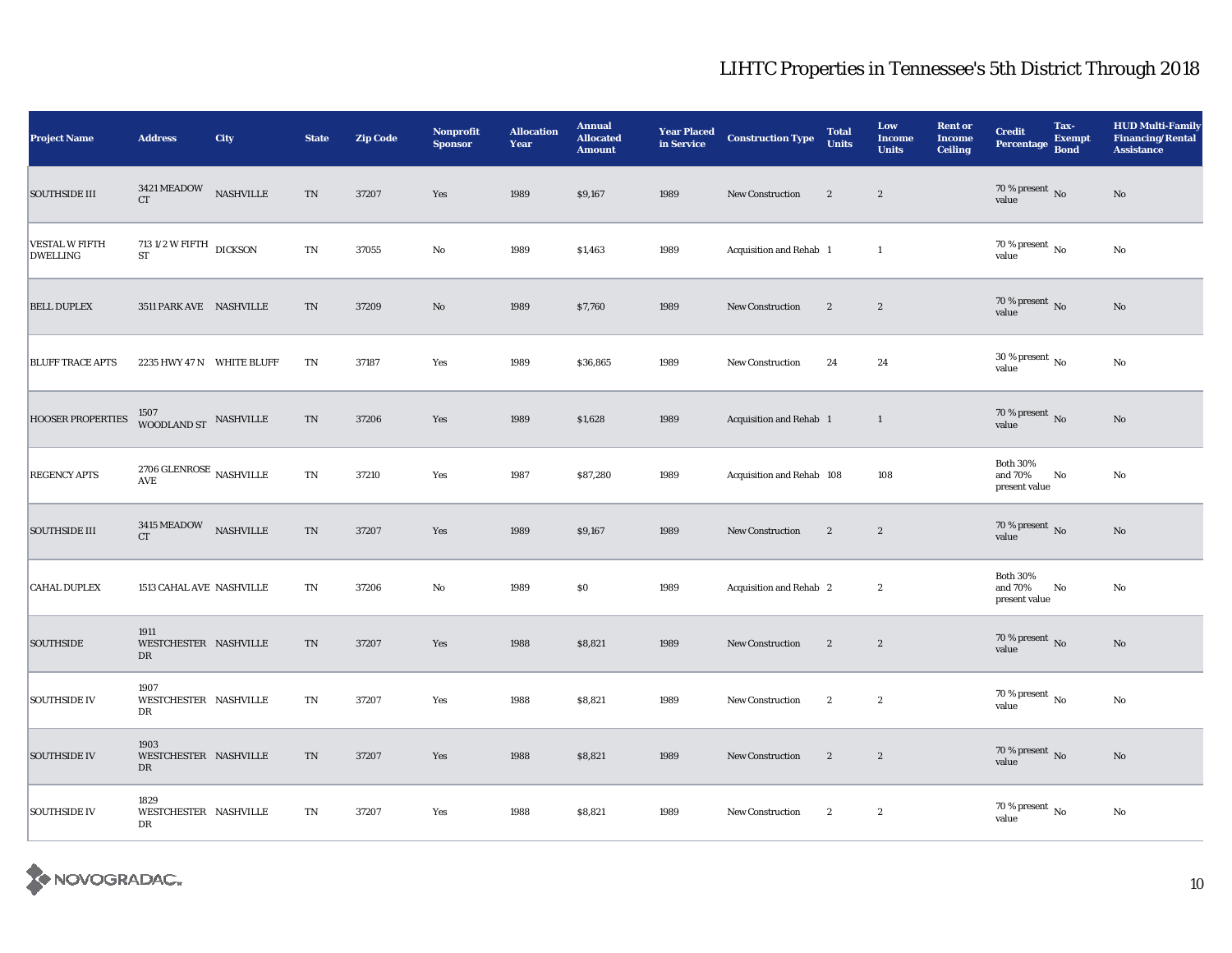| <b>Project Name</b>                      | <b>Address</b>                                | City             | <b>State</b>             | <b>Zip Code</b> | <b>Nonprofit</b><br><b>Sponsor</b> | <b>Allocation</b><br>Year | <b>Annual</b><br><b>Allocated</b><br><b>Amount</b> | <b>Year Placed<br/>in Service</b> | <b>Construction Type</b>  | <b>Total</b><br><b>Units</b> | Low<br><b>Income</b><br><b>Units</b> | <b>Rent or</b><br><b>Income</b><br><b>Ceiling</b> | <b>Credit</b><br><b>Percentage</b>          | Tax-<br><b>Exempt</b><br><b>Bond</b> | <b>HUD Multi-Family</b><br><b>Financing/Rental</b><br><b>Assistance</b> |
|------------------------------------------|-----------------------------------------------|------------------|--------------------------|-----------------|------------------------------------|---------------------------|----------------------------------------------------|-----------------------------------|---------------------------|------------------------------|--------------------------------------|---------------------------------------------------|---------------------------------------------|--------------------------------------|-------------------------------------------------------------------------|
| <b>SOUTHSIDE III</b>                     | $3421\,\mathrm{MEADOW}$<br><b>CT</b>          | <b>NASHVILLE</b> | $\mathcal{T}\mathcal{N}$ | 37207           | Yes                                | 1989                      | \$9,167                                            | 1989                              | <b>New Construction</b>   | $\mathbf{2}$                 | $\sqrt{2}$                           |                                                   | $70\,\%$ present $\,$ No value              |                                      | $\rm No$                                                                |
| <b>VESTAL W FIFTH</b><br><b>DWELLING</b> | 713 1/2 W FIFTH DICKSON<br>${\rm ST}$         |                  | $\mathbf{T}\mathbf{N}$   | 37055           | No                                 | 1989                      | \$1,463                                            | 1989                              | Acquisition and Rehab 1   |                              | $\mathbf{1}$                         |                                                   | 70 % present $\,$ No $\,$<br>value          |                                      | No                                                                      |
| <b>BELL DUPLEX</b>                       | 3511 PARK AVE NASHVILLE                       |                  | TN                       | 37209           | No                                 | 1989                      | \$7,760                                            | 1989                              | <b>New Construction</b>   | $\mathbf{2}$                 | $\boldsymbol{2}$                     |                                                   | $70\,\%$ present $\,$ No value              |                                      | No                                                                      |
| <b>BLUFF TRACE APTS</b>                  | 2235 HWY 47 N WHITE BLUFF                     |                  | TN                       | 37187           | Yes                                | 1989                      | \$36,865                                           | 1989                              | <b>New Construction</b>   | 24                           | 24                                   |                                                   | 30 % present $\,$ No $\,$<br>value          |                                      | $\rm No$                                                                |
| <b>HOOSER PROPERTIES</b>                 | 1507<br>WOODLAND ST NASHVILLE                 |                  | $\rm TN$                 | 37206           | Yes                                | 1989                      | \$1,628                                            | 1989                              | Acquisition and Rehab 1   |                              | $\mathbf{1}$                         |                                                   | 70 % present $\,$ No $\,$<br>value          |                                      | $\rm No$                                                                |
| <b>REGENCY APTS</b>                      | $2706$ GLENROSE $\,$ NASHVILLE AVE            |                  | TN                       | 37210           | Yes                                | 1987                      | \$87,280                                           | 1989                              | Acquisition and Rehab 108 |                              | 108                                  |                                                   | <b>Both 30%</b><br>and 70%<br>present value | No                                   | No                                                                      |
| <b>SOUTHSIDE III</b>                     | $3415\,\mathrm{MEADOW}$ $$\hbox{NSHVLLE}$$ CT |                  | $\rm TN$                 | 37207           | Yes                                | 1989                      | \$9,167                                            | 1989                              | New Construction          | $\overline{2}$               | $\boldsymbol{2}$                     |                                                   | $70\,\%$ present $\,$ No value              |                                      | No                                                                      |
| <b>CAHAL DUPLEX</b>                      | 1513 CAHAL AVE NASHVILLE                      |                  | TN                       | 37206           | No                                 | 1989                      | \$0                                                | 1989                              | Acquisition and Rehab 2   |                              | $\boldsymbol{2}$                     |                                                   | <b>Both 30%</b><br>and 70%<br>present value | No                                   | No                                                                      |
| <b>SOUTHSIDE</b>                         | 1911<br>WESTCHESTER NASHVILLE<br>DR           |                  | $\rm TN$                 | 37207           | Yes                                | 1988                      | \$8,821                                            | 1989                              | New Construction          | $\overline{2}$               | $\sqrt{2}$                           |                                                   | 70 % present $\,$ No $\,$<br>value          |                                      | $\rm No$                                                                |
| <b>SOUTHSIDE IV</b>                      | 1907<br>WESTCHESTER NASHVILLE<br>DR           |                  | TN                       | 37207           | Yes                                | 1988                      | \$8,821                                            | 1989                              | <b>New Construction</b>   | $\mathbf{2}$                 | $\boldsymbol{2}$                     |                                                   | $70$ % present $\,$ No $\,$<br>value        |                                      | $\rm No$                                                                |
| <b>SOUTHSIDE IV</b>                      | 1903<br>WESTCHESTER NASHVILLE<br>DR           |                  | TN                       | 37207           | Yes                                | 1988                      | \$8,821                                            | 1989                              | <b>New Construction</b>   | $\mathbf{2}$                 | $\boldsymbol{2}$                     |                                                   | 70 % present $\,$ No $\,$<br>value          |                                      | No                                                                      |
| <b>SOUTHSIDE IV</b>                      | 1829<br>WESTCHESTER NASHVILLE<br>DR           |                  | TN                       | 37207           | Yes                                | 1988                      | \$8,821                                            | 1989                              | <b>New Construction</b>   | $\mathbf{2}$                 | $\boldsymbol{2}$                     |                                                   | $70\%$ present No<br>value                  |                                      | No                                                                      |

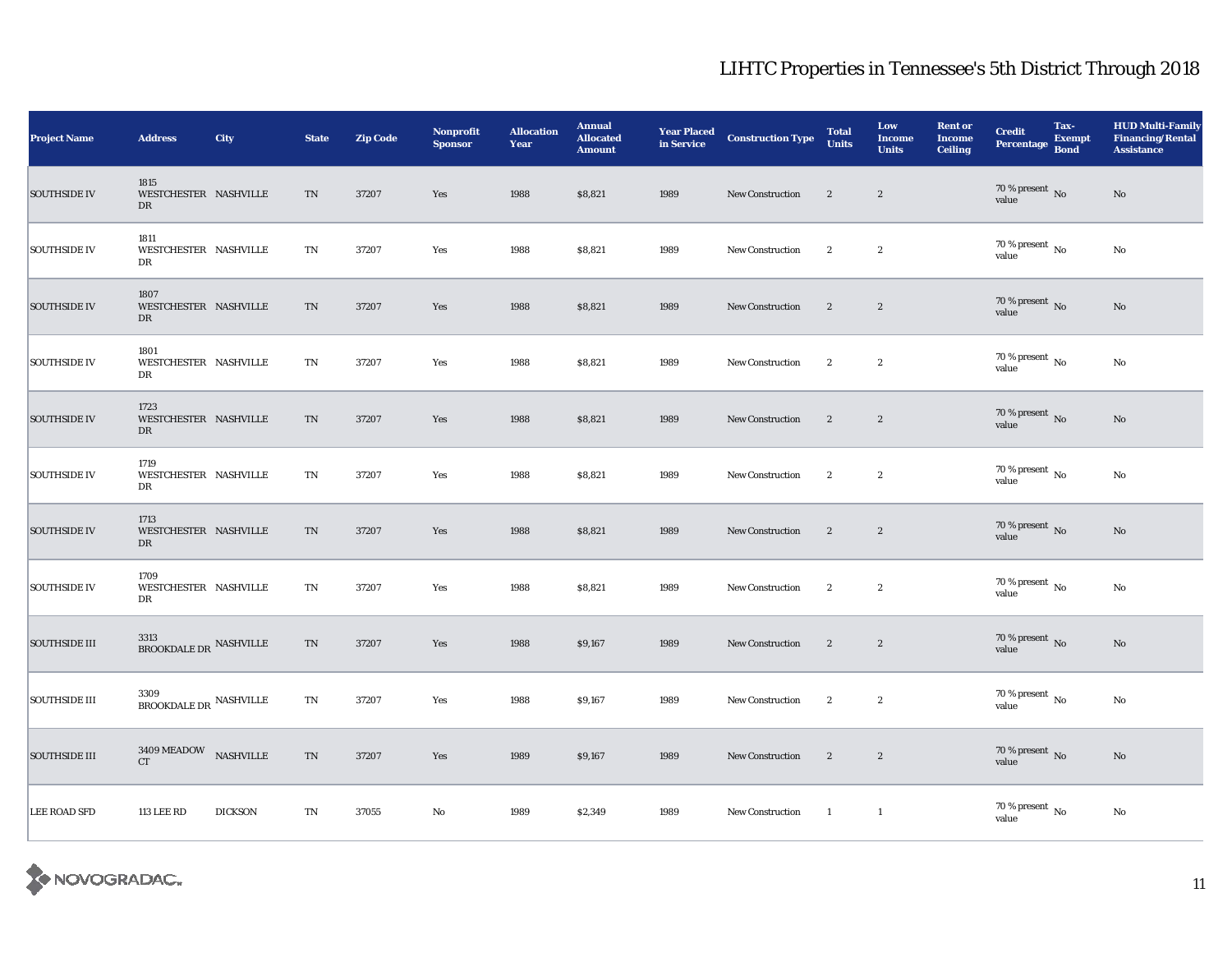| <b>Project Name</b>  | <b>Address</b>                                            | City           | <b>State</b> | <b>Zip Code</b> | <b>Nonprofit</b><br><b>Sponsor</b> | <b>Allocation</b><br>Year | <b>Annual</b><br><b>Allocated</b><br><b>Amount</b> | <b>Year Placed<br/>in Service</b> | <b>Construction Type</b> | <b>Total</b><br><b>Units</b> | Low<br><b>Income</b><br><b>Units</b> | <b>Rent or</b><br><b>Income</b><br><b>Ceiling</b> | <b>Credit</b><br><b>Percentage</b> | Tax-<br><b>Exempt</b><br><b>Bond</b> | <b>HUD Multi-Family</b><br><b>Financing/Rental</b><br><b>Assistance</b> |
|----------------------|-----------------------------------------------------------|----------------|--------------|-----------------|------------------------------------|---------------------------|----------------------------------------------------|-----------------------------------|--------------------------|------------------------------|--------------------------------------|---------------------------------------------------|------------------------------------|--------------------------------------|-------------------------------------------------------------------------|
| <b>SOUTHSIDE IV</b>  | 1815<br>WESTCHESTER NASHVILLE<br>DR                       |                | TN           | 37207           | Yes                                | 1988                      | \$8,821                                            | 1989                              | <b>New Construction</b>  | $\mathbf{2}$                 | $\mathbf{2}$                         |                                                   | $70\,\%$ present $\,$ No value     |                                      | $\rm No$                                                                |
| <b>SOUTHSIDE IV</b>  | 1811<br>WESTCHESTER NASHVILLE<br>DR                       |                | TN           | 37207           | Yes                                | 1988                      | \$8,821                                            | 1989                              | <b>New Construction</b>  | $\boldsymbol{2}$             | $\boldsymbol{2}$                     |                                                   | $70\,\%$ present $\,$ No value     |                                      | No                                                                      |
| <b>SOUTHSIDE IV</b>  | 1807<br>WESTCHESTER NASHVILLE<br>DR                       |                | TN           | 37207           | Yes                                | 1988                      | \$8,821                                            | 1989                              | <b>New Construction</b>  | $\boldsymbol{2}$             | $\mathbf{2}$                         |                                                   | $70\,\%$ present $\,$ No value     |                                      | No                                                                      |
| <b>SOUTHSIDE IV</b>  | 1801<br>WESTCHESTER NASHVILLE<br>DR                       |                | TN           | 37207           | Yes                                | 1988                      | \$8,821                                            | 1989                              | New Construction         | $\mathbf{2}$                 | $\boldsymbol{2}$                     |                                                   | 70 % present $\,$ No $\,$<br>value |                                      | $\mathbf{No}$                                                           |
| <b>SOUTHSIDE IV</b>  | 1723<br>WESTCHESTER NASHVILLE<br>DR                       |                | TN           | 37207           | Yes                                | 1988                      | \$8,821                                            | 1989                              | <b>New Construction</b>  | $\mathbf{2}$                 | $\mathbf{2}$                         |                                                   | $70\,\%$ present $\,$ No value     |                                      | No                                                                      |
| <b>SOUTHSIDE IV</b>  | 1719<br>WESTCHESTER NASHVILLE<br>DR                       |                | TN           | 37207           | Yes                                | 1988                      | \$8,821                                            | 1989                              | New Construction         | $\boldsymbol{2}$             | $\boldsymbol{2}$                     |                                                   | $70\,\%$ present $\,$ No value     |                                      | $\rm No$                                                                |
| <b>SOUTHSIDE IV</b>  | 1713<br>WESTCHESTER NASHVILLE<br>DR                       |                | TN           | 37207           | Yes                                | 1988                      | \$8,821                                            | 1989                              | <b>New Construction</b>  | $\mathbf{2}$                 | $\mathbf{2}$                         |                                                   | $70\,\%$ present $\,$ No value     |                                      | No                                                                      |
| <b>SOUTHSIDE IV</b>  | 1709<br>WESTCHESTER NASHVILLE<br>DR                       |                | TN           | 37207           | Yes                                | 1988                      | \$8,821                                            | 1989                              | New Construction         | $\mathbf{2}$                 | $\mathbf{2}$                         |                                                   | $70\,\%$ present $\,$ No value     |                                      | No                                                                      |
| <b>SOUTHSIDE III</b> | 3313<br>$\operatorname{\mathsf{BROOKDALE\,DR}}$ NASHVILLE |                | TN           | 37207           | Yes                                | 1988                      | \$9,167                                            | 1989                              | New Construction         | $\overline{2}$               | $\mathbf{2}$                         |                                                   | $70\,\%$ present $\,$ No value     |                                      | No                                                                      |
| <b>SOUTHSIDE III</b> | 3309<br>$\operatorname{\mathsf{BROOKDALE\,DR}}$ NASHVILLE |                | TN           | 37207           | Yes                                | 1988                      | \$9,167                                            | 1989                              | <b>New Construction</b>  | $\mathbf{2}$                 | $\boldsymbol{2}$                     |                                                   | 70 % present $\,$ No $\,$<br>value |                                      | No                                                                      |
| <b>SOUTHSIDE III</b> | $3409\,\mbox{MEADOW}$ NASHVILLE<br><b>CT</b>              |                | TN           | 37207           | Yes                                | 1989                      | \$9,167                                            | 1989                              | New Construction         | $\mathbf{2}$                 | $\sqrt{2}$                           |                                                   | $70\,\%$ present $\,$ No value     |                                      | $\rm No$                                                                |
| <b>LEE ROAD SFD</b>  | <b>113 LEE RD</b>                                         | <b>DICKSON</b> | TN           | 37055           | No                                 | 1989                      | \$2,349                                            | 1989                              | New Construction         | $\blacksquare$               | $\mathbf{1}$                         |                                                   | 70 % present $\,$ No $\,$<br>value |                                      | No                                                                      |

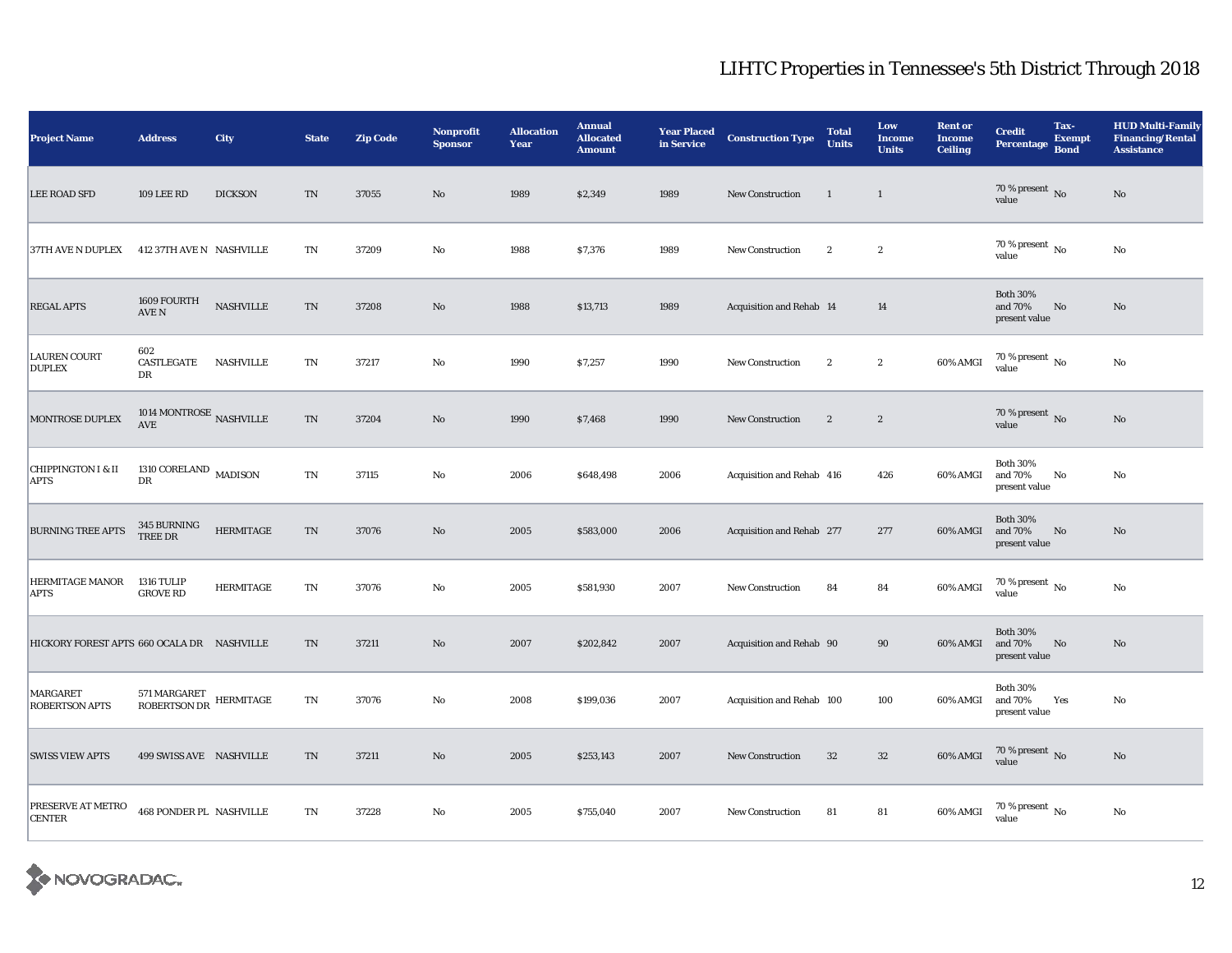| <b>Project Name</b>                          | <b>Address</b>                                 | City             | <b>State</b>               | <b>Zip Code</b> | <b>Nonprofit</b><br><b>Sponsor</b> | <b>Allocation</b><br>Year | <b>Annual</b><br><b>Allocated</b><br><b>Amount</b> | <b>Year Placed<br/>in Service</b> | <b>Construction Type</b>  | <b>Total</b><br><b>Units</b> | Low<br><b>Income</b><br><b>Units</b> | <b>Rent or</b><br><b>Income</b><br><b>Ceiling</b> | <b>Credit</b><br><b>Percentage</b>          | Tax-<br><b>Exempt</b><br><b>Bond</b> | <b>HUD Multi-Family</b><br><b>Financing/Rental</b><br><b>Assistance</b> |
|----------------------------------------------|------------------------------------------------|------------------|----------------------------|-----------------|------------------------------------|---------------------------|----------------------------------------------------|-----------------------------------|---------------------------|------------------------------|--------------------------------------|---------------------------------------------------|---------------------------------------------|--------------------------------------|-------------------------------------------------------------------------|
| <b>LEE ROAD SFD</b>                          | <b>109 LEE RD</b>                              | <b>DICKSON</b>   | $\mathop{\rm TN}\nolimits$ | 37055           | $\rm No$                           | 1989                      | \$2,349                                            | 1989                              | New Construction          | $\mathbf{1}$                 | $\mathbf{1}$                         |                                                   | 70 % present $\,$ No $\,$<br>value          |                                      | $\rm No$                                                                |
| 37TH AVE N DUPLEX                            | 412 37TH AVE N NASHVILLE                       |                  | TN                         | 37209           | No                                 | 1988                      | \$7,376                                            | 1989                              | <b>New Construction</b>   | $\mathbf{2}$                 | $\boldsymbol{2}$                     |                                                   | 70 % present $\,$ No $\,$<br>value          |                                      | No                                                                      |
| <b>REGAL APTS</b>                            | 1609 FOURTH<br>AVE N                           | <b>NASHVILLE</b> | $\rm TN$                   | 37208           | $\mathbf{N}\mathbf{o}$             | 1988                      | \$13,713                                           | 1989                              | Acquisition and Rehab 14  |                              | 14                                   |                                                   | <b>Both 30%</b><br>and 70%<br>present value | No                                   | $\mathbf{N}\mathbf{o}$                                                  |
| <b>LAUREN COURT</b><br><b>DUPLEX</b>         | 602<br>CASTLEGATE<br>DR                        | <b>NASHVILLE</b> | TN                         | 37217           | No                                 | 1990                      | \$7,257                                            | 1990                              | <b>New Construction</b>   | $\mathbf{2}$                 | $\boldsymbol{2}$                     | 60% AMGI                                          | $70\,\%$ present $\,$ No value              |                                      | No                                                                      |
| MONTROSE DUPLEX                              | 1014 MONTROSE $_{\rm NASHVILLE}$<br><b>AVE</b> |                  | $\rm TN$                   | 37204           | No                                 | 1990                      | \$7,468                                            | 1990                              | New Construction          | $\mathbf{2}$                 | $\sqrt{2}$                           |                                                   | 70 % present $\,$ No $\,$<br>value          |                                      | $\rm No$                                                                |
| <b>CHIPPINGTON I &amp; II</b><br><b>APTS</b> | 1310 CORELAND $\,$ MADISON $\,$<br>DR          |                  | $\mathbf{T}\mathbf{N}$     | 37115           | No                                 | 2006                      | \$648,498                                          | 2006                              | Acquisition and Rehab 416 |                              | 426                                  | 60% AMGI                                          | <b>Both 30%</b><br>and 70%<br>present value | No                                   | No                                                                      |
| <b>BURNING TREE APTS</b>                     | 345 BURNING<br>TREE DR                         | <b>HERMITAGE</b> | $\rm TN$                   | 37076           | $\mathbf{N}\mathbf{o}$             | 2005                      | \$583,000                                          | 2006                              | Acquisition and Rehab 277 |                              | 277                                  | 60% AMGI                                          | <b>Both 30%</b><br>and 70%<br>present value | No                                   | No                                                                      |
| HERMITAGE MANOR<br><b>APTS</b>               | 1316 TULIP<br><b>GROVE RD</b>                  | <b>HERMITAGE</b> | TN                         | 37076           | No                                 | 2005                      | \$581,930                                          | 2007                              | <b>New Construction</b>   | 84                           | 84                                   | 60% AMGI                                          | 70 % present $\,$ No $\,$<br>value          |                                      | No                                                                      |
| HICKORY FOREST APTS 660 OCALA DR NASHVILLE   |                                                |                  | TN                         | 37211           | $\mathbf{N}\mathbf{o}$             | 2007                      | \$202,842                                          | 2007                              | Acquisition and Rehab 90  |                              | 90                                   | 60% AMGI                                          | <b>Both 30%</b><br>and 70%<br>present value | No                                   | No                                                                      |
| MARGARET<br><b>ROBERTSON APTS</b>            | $571\, \rm MARGARET$ HERMITAGE ROBERTSON DR    |                  | TN                         | 37076           | No                                 | 2008                      | \$199,036                                          | 2007                              | Acquisition and Rehab 100 |                              | 100                                  | 60% AMGI                                          | <b>Both 30%</b><br>and 70%<br>present value | Yes                                  | No                                                                      |
| <b>SWISS VIEW APTS</b>                       | 499 SWISS AVE NASHVILLE                        |                  | $\mathcal{T}\mathcal{N}$   | 37211           | $\rm No$                           | 2005                      | \$253,143                                          | 2007                              | <b>New Construction</b>   | $32\,$                       | $32\,$                               | 60% AMGI                                          | $70\,\%$ present $\,$ No value              |                                      | $\rm No$                                                                |
| PRESERVE AT METRO<br><b>CENTER</b>           | <b>468 PONDER PL NASHVILLE</b>                 |                  | TN                         | 37228           | No                                 | 2005                      | \$755,040                                          | 2007                              | <b>New Construction</b>   | 81                           | 81                                   | 60% AMGI                                          | 70 % present $\,$ No $\,$<br>value          |                                      | No                                                                      |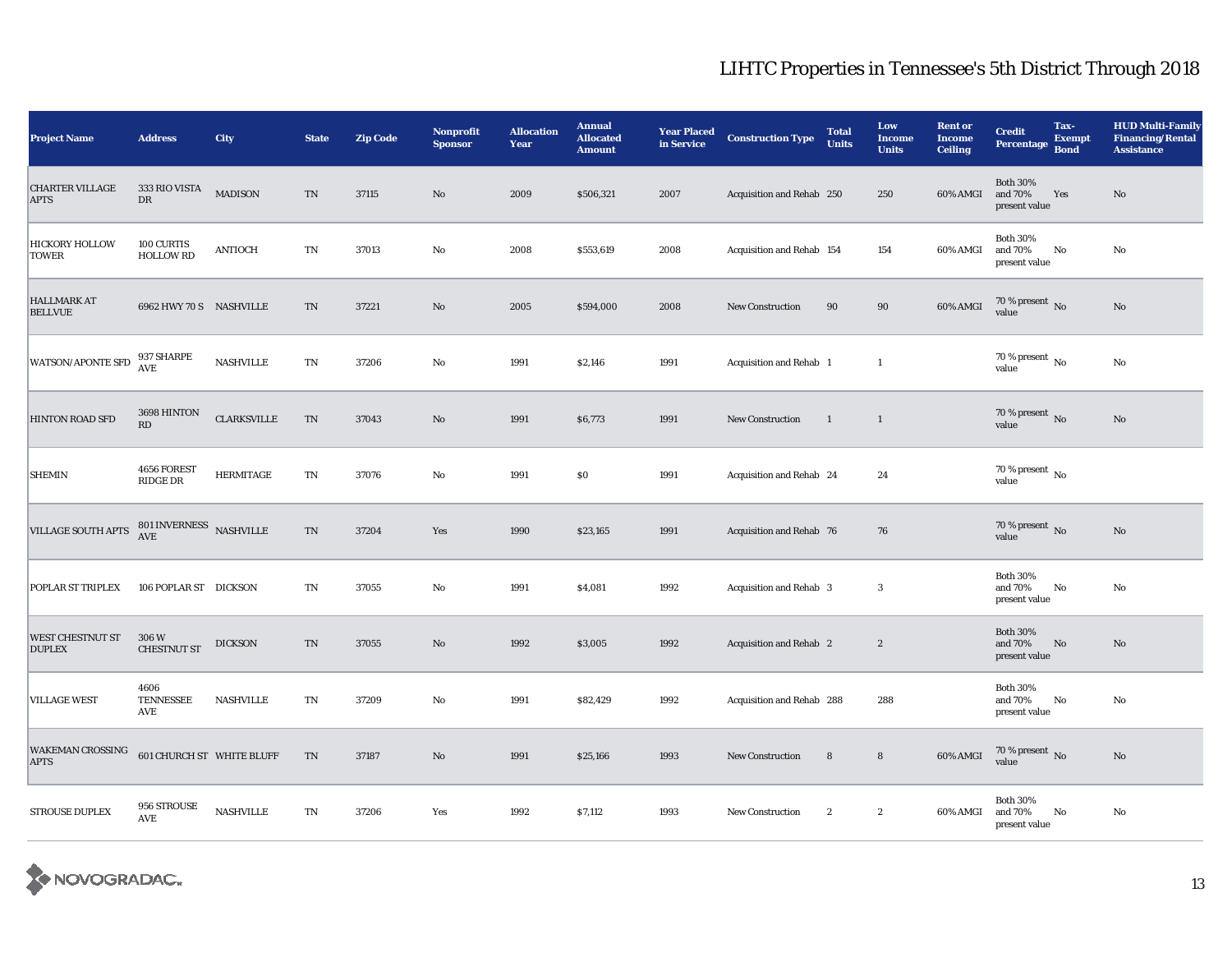| <b>Project Name</b>                      | <b>Address</b>                        | City               | <b>State</b>               | <b>Zip Code</b> | <b>Nonprofit</b><br><b>Sponsor</b> | <b>Allocation</b><br>Year | <b>Annual</b><br><b>Allocated</b><br><b>Amount</b> | <b>Year Placed<br/>in Service</b> | <b>Construction Type</b>  | <b>Total</b><br><b>Units</b> | Low<br><b>Income</b><br><b>Units</b> | <b>Rent or</b><br><b>Income</b><br><b>Ceiling</b> | <b>Credit</b><br><b>Percentage</b>          | Tax-<br><b>Exempt</b><br><b>Bond</b> | <b>HUD Multi-Family</b><br><b>Financing/Rental</b><br><b>Assistance</b> |
|------------------------------------------|---------------------------------------|--------------------|----------------------------|-----------------|------------------------------------|---------------------------|----------------------------------------------------|-----------------------------------|---------------------------|------------------------------|--------------------------------------|---------------------------------------------------|---------------------------------------------|--------------------------------------|-------------------------------------------------------------------------|
| <b>CHARTER VILLAGE</b><br><b>APTS</b>    | 333 RIO VISTA<br>DR                   | <b>MADISON</b>     | $\mathcal{T}\mathcal{N}$   | 37115           | $\rm No$                           | 2009                      | \$506,321                                          | 2007                              | Acquisition and Rehab 250 |                              | 250                                  | 60% AMGI                                          | <b>Both 30%</b><br>and 70%<br>present value | Yes                                  | No                                                                      |
| <b>HICKORY HOLLOW</b><br><b>TOWER</b>    | 100 CURTIS<br><b>HOLLOW RD</b>        | <b>ANTIOCH</b>     | $\mathbf{T}\mathbf{N}$     | 37013           | No                                 | 2008                      | \$553,619                                          | 2008                              | Acquisition and Rehab 154 |                              | 154                                  | 60% AMGI                                          | <b>Both 30%</b><br>and 70%<br>present value | No                                   | No                                                                      |
| <b>HALLMARK AT</b><br><b>BELLVUE</b>     | 6962 HWY 70 S NASHVILLE               |                    | $\mathcal{T}\mathcal{N}$   | 37221           | $\rm No$                           | 2005                      | \$594,000                                          | 2008                              | <b>New Construction</b>   | 90                           | 90                                   | 60% AMGI                                          | 70 % present $\,$ No $\,$<br>value          |                                      | No                                                                      |
| <b>WATSON/APONTE SFD</b>                 | 937 SHARPE<br><b>AVE</b>              | <b>NASHVILLE</b>   | TN                         | 37206           | No                                 | 1991                      | \$2,146                                            | 1991                              | Acquisition and Rehab 1   |                              | <sup>1</sup>                         |                                                   | 70 % present $\,$ No $\,$<br>value          |                                      | No                                                                      |
| <b>HINTON ROAD SFD</b>                   | 3698 HINTON<br>$\mathbf{R}\mathbf{D}$ | <b>CLARKSVILLE</b> | $\mathcal{T}\mathcal{N}$   | 37043           | $\rm No$                           | 1991                      | \$6,773                                            | 1991                              | New Construction          | $\overline{1}$               | $\mathbf{1}$                         |                                                   | 70 % present $\,$ No $\,$<br>value          |                                      | No                                                                      |
| <b>SHEMIN</b>                            | 4656 FOREST<br>RIDGE DR               | <b>HERMITAGE</b>   | $\mathbf{T}\mathbf{N}$     | 37076           | No                                 | 1991                      | \$0                                                | 1991                              | Acquisition and Rehab 24  |                              | 24                                   |                                                   | 70 % present $\,$ No $\,$<br>value          |                                      |                                                                         |
| <b>VILLAGE SOUTH APTS</b>                | $801\,\mbox{INVENESS}$ NASHVILLE AVE  |                    | $\mathop{\rm TN}\nolimits$ | 37204           | Yes                                | 1990                      | \$23,165                                           | 1991                              | Acquisition and Rehab 76  |                              | 76                                   |                                                   | 70 % present $\,$ No $\,$<br>value          |                                      | $\mathbf{N}\mathbf{o}$                                                  |
| POPLAR ST TRIPLEX                        | 106 POPLAR ST DICKSON                 |                    | TN                         | 37055           | No                                 | 1991                      | \$4,081                                            | 1992                              | Acquisition and Rehab 3   |                              | 3                                    |                                                   | <b>Both 30%</b><br>and 70%<br>present value | No                                   | No                                                                      |
| <b>WEST CHESTNUT ST</b><br><b>DUPLEX</b> | 306 W<br><b>CHESTNUT ST</b>           | <b>DICKSON</b>     | $\mathcal{T}\mathcal{N}$   | 37055           | No                                 | 1992                      | \$3,005                                            | 1992                              | Acquisition and Rehab 2   |                              | $\boldsymbol{2}$                     |                                                   | <b>Both 30%</b><br>and 70%<br>present value | $\rm No$                             | $\mathbf{N}\mathbf{o}$                                                  |
| <b>VILLAGE WEST</b>                      | 4606<br><b>TENNESSEE</b><br>AVE       | <b>NASHVILLE</b>   | TN                         | 37209           | No                                 | 1991                      | \$82,429                                           | 1992                              | Acquisition and Rehab 288 |                              | 288                                  |                                                   | <b>Both 30%</b><br>and 70%<br>present value | No                                   | No                                                                      |
| <b>WAKEMAN CROSSING</b><br><b>APTS</b>   | 601 CHURCH ST WHITE BLUFF             |                    | $\mathop{\rm TN}\nolimits$ | 37187           | $\rm No$                           | 1991                      | \$25,166                                           | 1993                              | <b>New Construction</b>   | ${\bf 8}$                    | ${\bf 8}$                            | 60% AMGI                                          | $70\,\%$ present $\,$ No value              |                                      | $\rm No$                                                                |
| <b>STROUSE DUPLEX</b>                    | 956 STROUSE<br>AVE                    | <b>NASHVILLE</b>   | TN                         | 37206           | Yes                                | 1992                      | \$7,112                                            | 1993                              | <b>New Construction</b>   | $\boldsymbol{2}$             | $\boldsymbol{2}$                     | 60% AMGI                                          | <b>Both 30%</b><br>and 70%<br>present value | $\mathbf{N}\mathbf{o}$               | No                                                                      |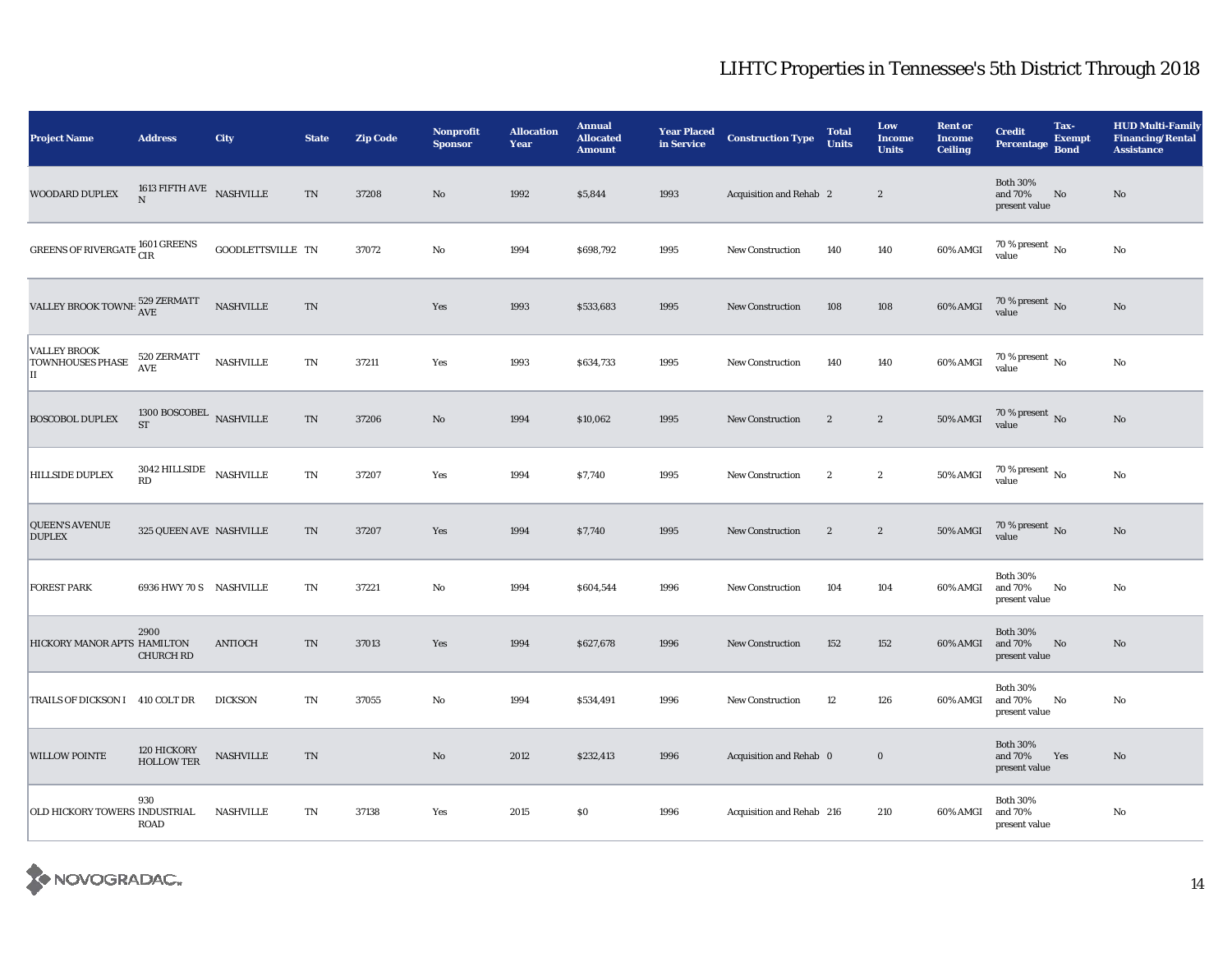| <b>Project Name</b>                                  | <b>Address</b>                                            | City              | <b>State</b>               | <b>Zip Code</b> | <b>Nonprofit</b><br><b>Sponsor</b> | <b>Allocation</b><br>Year | <b>Annual</b><br><b>Allocated</b><br><b>Amount</b> | <b>Year Placed<br/>in Service</b> | <b>Construction Type</b>  | <b>Total</b><br><b>Units</b> | Low<br><b>Income</b><br><b>Units</b> | <b>Rent or</b><br><b>Income</b><br><b>Ceiling</b> | <b>Credit</b><br><b>Percentage</b>          | Tax-<br><b>Exempt</b><br><b>Bond</b> | <b>HUD Multi-Family</b><br><b>Financing/Rental</b><br><b>Assistance</b> |
|------------------------------------------------------|-----------------------------------------------------------|-------------------|----------------------------|-----------------|------------------------------------|---------------------------|----------------------------------------------------|-----------------------------------|---------------------------|------------------------------|--------------------------------------|---------------------------------------------------|---------------------------------------------|--------------------------------------|-------------------------------------------------------------------------|
| WOODARD DUPLEX                                       | 1613 FIFTH AVE NASHVILLE<br>$\mathbf N$                   |                   | TN                         | 37208           | $\mathbf{N}\mathbf{o}$             | 1992                      | \$5,844                                            | 1993                              | Acquisition and Rehab 2   |                              | $\overline{2}$                       |                                                   | <b>Both 30%</b><br>and 70%<br>present value | No                                   | $\mathbf{N}\mathbf{o}$                                                  |
| GREENS OF RIVERGATE $^{1601}_{\rm CIR}$              |                                                           | GOODLETTSVILLE TN |                            | 37072           | $\rm\thinspace No$                 | 1994                      | \$698,792                                          | 1995                              | <b>New Construction</b>   | 140                          | 140                                  | 60% AMGI                                          | $70$ % present $\,$ No $\,$<br>value        |                                      | $\rm No$                                                                |
| VALLEY BROOK TOWNH $^{529}_{\rm AVE}$                |                                                           | <b>NASHVILLE</b>  | $\mathcal{T}\mathcal{N}$   |                 | Yes                                | 1993                      | \$533,683                                          | 1995                              | <b>New Construction</b>   | 108                          | 108                                  | 60% AMGI                                          | $70\,\%$ present $\,$ No value              |                                      | $\rm No$                                                                |
| <b>VALLEY BROOK</b><br><b>TOWNHOUSES PHASE</b><br>IІ | 520 ZERMATT<br><b>AVE</b>                                 | <b>NASHVILLE</b>  | $\mathbf{T}\mathbf{N}$     | 37211           | Yes                                | 1993                      | \$634,733                                          | 1995                              | New Construction          | 140                          | 140                                  | 60% AMGI                                          | $70\,\%$ present $\,$ No value              |                                      | $\rm No$                                                                |
| <b>BOSCOBOL DUPLEX</b>                               | 1300 BOSCOBEL NASHVILLE<br><b>ST</b>                      |                   | TN                         | 37206           | No                                 | 1994                      | \$10,062                                           | 1995                              | <b>New Construction</b>   | $\mathbf{2}$                 | $\mathbf{2}$                         | <b>50% AMGI</b>                                   | $70\,\%$ present $\,$ No value              |                                      | $\mathbf{N}\mathbf{o}$                                                  |
| <b>HILLSIDE DUPLEX</b>                               | 3042 HILLSIDE $$\tt NASHVILLE$$<br>$\mathbf{R}\mathbf{D}$ |                   | $\mathop{\rm TN}\nolimits$ | 37207           | Yes                                | 1994                      | \$7,740                                            | 1995                              | New Construction          | $\mathbf{2}$                 | $\boldsymbol{2}$                     | $50\%$ AMGI                                       | $70\,\%$ present $\,$ No value              |                                      | $\rm No$                                                                |
| <b>QUEEN'S AVENUE</b><br><b>DUPLEX</b>               | 325 QUEEN AVE NASHVILLE                                   |                   | TN                         | 37207           | Yes                                | 1994                      | \$7,740                                            | 1995                              | New Construction          | $\mathbf{2}$                 | $\boldsymbol{2}$                     | <b>50% AMGI</b>                                   | $70\,\%$ present $\,$ No value              |                                      | $\mathbf{N}\mathbf{o}$                                                  |
| <b>FOREST PARK</b>                                   | 6936 HWY 70 S NASHVILLE                                   |                   | $\mathbf{T}\mathbf{N}$     | 37221           | $\rm No$                           | 1994                      | \$604,544                                          | 1996                              | <b>New Construction</b>   | 104                          | 104                                  | 60% AMGI                                          | <b>Both 30%</b><br>and 70%<br>present value | No                                   | No                                                                      |
| HICKORY MANOR APTS HAMILTON                          | 2900<br><b>CHURCH RD</b>                                  | <b>ANTIOCH</b>    | TN                         | 37013           | Yes                                | 1994                      | \$627,678                                          | 1996                              | <b>New Construction</b>   | 152                          | 152                                  | 60% AMGI                                          | <b>Both 30%</b><br>and 70%<br>present value | No                                   | $\mathbf{N}\mathbf{o}$                                                  |
| TRAILS OF DICKSON I 410 COLT DR                      |                                                           | <b>DICKSON</b>    | TN                         | 37055           | $\mathbf{N}\mathbf{o}$             | 1994                      | \$534,491                                          | 1996                              | <b>New Construction</b>   | 12                           | 126                                  | 60% AMGI                                          | <b>Both 30%</b><br>and 70%<br>present value | No                                   | No                                                                      |
| <b>WILLOW POINTE</b>                                 | 120 HICKORY<br><b>HOLLOW TER</b>                          | <b>NASHVILLE</b>  | TN                         |                 | $\rm\thinspace No$                 | 2012                      | \$232,413                                          | 1996                              | Acquisition and Rehab 0   |                              | $\bf{0}$                             |                                                   | <b>Both 30%</b><br>and 70%<br>present value | Yes                                  | $\rm No$                                                                |
| OLD HICKORY TOWERS INDUSTRIAL                        | 930<br>ROAD                                               | <b>NASHVILLE</b>  | TN                         | 37138           | Yes                                | 2015                      | \$0                                                | 1996                              | Acquisition and Rehab 216 |                              | 210                                  | 60% AMGI                                          | <b>Both 30%</b><br>and 70%<br>present value |                                      | No                                                                      |

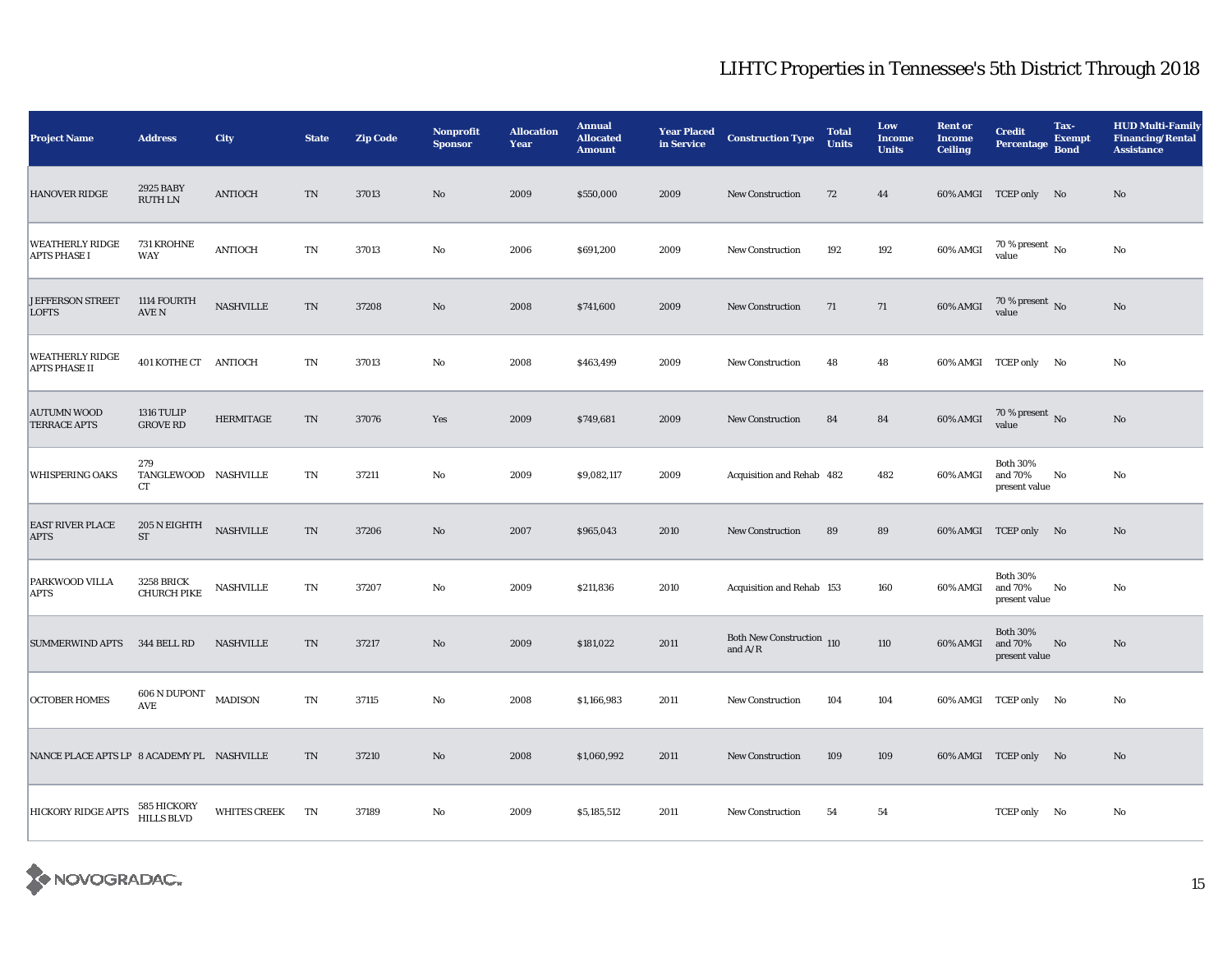| <b>Project Name</b>                            | <b>Address</b>                                | <b>City</b>         | <b>State</b>           | <b>Zip Code</b> | <b>Nonprofit</b><br><b>Sponsor</b> | <b>Allocation</b><br>Year | <b>Annual</b><br><b>Allocated</b><br><b>Amount</b> | <b>Year Placed</b><br>in Service | <b>Construction Type</b>               | <b>Total</b><br><b>Units</b> | Low<br><b>Income</b><br><b>Units</b> | <b>Rent or</b><br><b>Income</b><br><b>Ceiling</b> | <b>Credit</b><br><b>Percentage</b>          | Tax-<br><b>Exempt</b><br><b>Bond</b> | <b>HUD Multi-Family</b><br><b>Financing/Rental</b><br><b>Assistance</b> |
|------------------------------------------------|-----------------------------------------------|---------------------|------------------------|-----------------|------------------------------------|---------------------------|----------------------------------------------------|----------------------------------|----------------------------------------|------------------------------|--------------------------------------|---------------------------------------------------|---------------------------------------------|--------------------------------------|-------------------------------------------------------------------------|
| <b>HANOVER RIDGE</b>                           | 2925 BABY<br><b>RUTH LN</b>                   | <b>ANTIOCH</b>      | $\rm TN$               | 37013           | $\rm No$                           | 2009                      | \$550,000                                          | 2009                             | <b>New Construction</b>                | 72                           | 44                                   |                                                   | 60% AMGI TCEP only No                       |                                      | No                                                                      |
| <b>WEATHERLY RIDGE</b><br><b>APTS PHASE I</b>  | 731 KROHNE<br>WAY                             | <b>ANTIOCH</b>      | TN                     | 37013           | No                                 | 2006                      | \$691,200                                          | 2009                             | <b>New Construction</b>                | 192                          | 192                                  | 60% AMGI                                          | $70$ % present $\,$ No $\,$<br>value        |                                      | No                                                                      |
| <b>JEFFERSON STREET</b><br><b>LOFTS</b>        | 1114 FOURTH<br>$\operatorname{AVE}$ N         | <b>NASHVILLE</b>    | TN                     | 37208           | No                                 | 2008                      | \$741,600                                          | 2009                             | <b>New Construction</b>                | 71                           | 71                                   | 60% AMGI                                          | $70\,\%$ present $\,$ No value              |                                      | No                                                                      |
| <b>WEATHERLY RIDGE</b><br><b>APTS PHASE II</b> | 401 KOTHE CT ANTIOCH                          |                     | TN                     | 37013           | No                                 | 2008                      | \$463,499                                          | 2009                             | <b>New Construction</b>                | 48                           | 48                                   |                                                   | 60% AMGI TCEP only No                       |                                      | No                                                                      |
| <b>AUTUMN WOOD</b><br>TERRACE APTS             | <b>1316 TULIP</b><br><b>GROVE RD</b>          | <b>HERMITAGE</b>    | TN                     | 37076           | Yes                                | 2009                      | \$749,681                                          | 2009                             | <b>New Construction</b>                | 84                           | 84                                   | 60% AMGI                                          | $70\,\%$ present $\,$ No value              |                                      | No                                                                      |
| <b>WHISPERING OAKS</b>                         | 279<br>TANGLEWOOD NASHVILLE<br>CT             |                     | $\mathbf{T}\mathbf{N}$ | 37211           | No                                 | 2009                      | \$9,082,117                                        | 2009                             | Acquisition and Rehab 482              |                              | 482                                  | 60% AMGI                                          | <b>Both 30%</b><br>and 70%<br>present value | No                                   | $\mathbf{N}\mathbf{o}$                                                  |
| <b>EAST RIVER PLACE</b><br><b>APTS</b>         | 205 N EIGHTH<br>${\rm ST}$                    | <b>NASHVILLE</b>    | $\rm TN$               | 37206           | No                                 | 2007                      | \$965,043                                          | 2010                             | <b>New Construction</b>                | 89                           | 89                                   |                                                   | 60% AMGI TCEP only No                       |                                      | No                                                                      |
| <b>PARKWOOD VILLA</b><br><b>APTS</b>           | <b>3258 BRICK</b><br><b>CHURCH PIKE</b>       | <b>NASHVILLE</b>    | TN                     | 37207           | No                                 | 2009                      | \$211,836                                          | 2010                             | Acquisition and Rehab 153              |                              | 160                                  | 60% AMGI                                          | <b>Both 30%</b><br>and 70%<br>present value | No                                   | No                                                                      |
| SUMMERWIND APTS 344 BELL RD                    |                                               | <b>NASHVILLE</b>    | TN                     | 37217           | $\mathbf{N}\mathbf{o}$             | 2009                      | \$181,022                                          | 2011                             | Both New Construction 110<br>and $A/R$ |                              | 110                                  | 60% AMGI                                          | <b>Both 30%</b><br>and 70%<br>present value | No                                   | No                                                                      |
| <b>OCTOBER HOMES</b>                           | 606 N DUPONT<br>$\operatorname{\mathsf{AVE}}$ | <b>MADISON</b>      | TN                     | 37115           | No                                 | 2008                      | \$1,166,983                                        | 2011                             | <b>New Construction</b>                | 104                          | 104                                  |                                                   | 60% AMGI TCEP only No                       |                                      | $\mathbf{N}\mathbf{o}$                                                  |
| NANCE PLACE APTS LP 8 ACADEMY PL NASHVILLE     |                                               |                     | TN                     | 37210           | $\mathbf{N}\mathbf{o}$             | 2008                      | \$1,060,992                                        | 2011                             | <b>New Construction</b>                | 109                          | 109                                  |                                                   | 60% AMGI TCEP only No                       |                                      | $\mathbf{N}\mathbf{o}$                                                  |
| <b>HICKORY RIDGE APTS</b>                      | 585 HICKORY<br><b>HILLS BLVD</b>              | <b>WHITES CREEK</b> | TN                     | 37189           | No                                 | 2009                      | \$5,185,512                                        | 2011                             | <b>New Construction</b>                | 54                           | 54                                   |                                                   | TCEP only No                                |                                      | No                                                                      |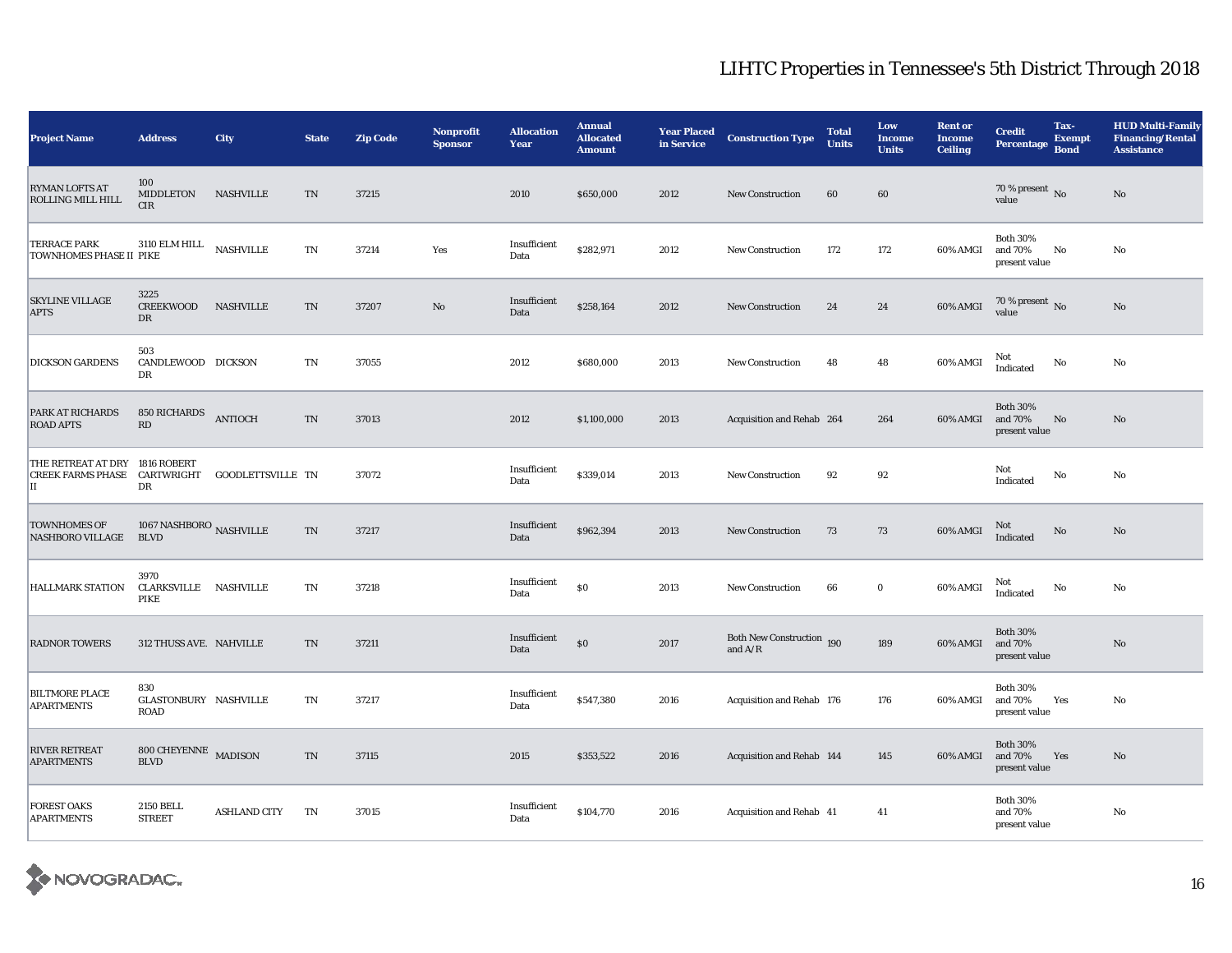| <b>Project Name</b>                                                       | <b>Address</b>                                  | City                | <b>State</b>               | <b>Zip Code</b> | <b>Nonprofit</b><br><b>Sponsor</b> | <b>Allocation</b><br>Year | <b>Annual</b><br><b>Allocated</b><br><b>Amount</b> | <b>Year Placed<br/>in Service</b> | <b>Construction Type</b>               | <b>Total</b><br><b>Units</b> | Low<br><b>Income</b><br><b>Units</b> | <b>Rent or</b><br><b>Income</b><br><b>Ceiling</b> | <b>Credit</b><br><b>Percentage</b>          | Tax-<br><b>Exempt</b><br><b>Bond</b> | <b>HUD Multi-Family</b><br><b>Financing/Rental</b><br><b>Assistance</b> |
|---------------------------------------------------------------------------|-------------------------------------------------|---------------------|----------------------------|-----------------|------------------------------------|---------------------------|----------------------------------------------------|-----------------------------------|----------------------------------------|------------------------------|--------------------------------------|---------------------------------------------------|---------------------------------------------|--------------------------------------|-------------------------------------------------------------------------|
| <b>RYMAN LOFTS AT</b><br>ROLLING MILL HILL                                | 100<br>MIDDLETON<br>CIR                         | <b>NASHVILLE</b>    | TN                         | 37215           |                                    | 2010                      | \$650,000                                          | 2012                              | <b>New Construction</b>                | 60                           | 60                                   |                                                   | 70 % present $\,$ No $\,$<br>value          |                                      | $\rm No$                                                                |
| <b>TERRACE PARK</b><br><b>TOWNHOMES PHASE II PIKE</b>                     | 3110 ELM HILL                                   | <b>NASHVILLE</b>    | TN                         | 37214           | Yes                                | Insufficient<br>Data      | \$282,971                                          | 2012                              | <b>New Construction</b>                | 172                          | 172                                  | 60% AMGI                                          | <b>Both 30%</b><br>and 70%<br>present value | No                                   | No                                                                      |
| <b>SKYLINE VILLAGE</b><br><b>APTS</b>                                     | 3225<br>CREEKWOOD NASHVILLE<br>$_{\rm DR}$      |                     | TN                         | 37207           | No                                 | Insufficient<br>Data      | \$258,164                                          | 2012                              | <b>New Construction</b>                | 24                           | 24                                   | 60% AMGI                                          | 70 % present $\,$ No $\,$<br>value          |                                      | No                                                                      |
| <b>DICKSON GARDENS</b>                                                    | 503<br>CANDLEWOOD DICKSON<br>DR                 |                     | TN                         | 37055           |                                    | 2012                      | \$680,000                                          | 2013                              | <b>New Construction</b>                | 48                           | 48                                   | 60% AMGI                                          | Not<br>Indicated                            | No                                   | No                                                                      |
| PARK AT RICHARDS<br><b>ROAD APTS</b>                                      | 850 RICHARDS ANTIOCH<br>RD                      |                     | TN                         | 37013           |                                    | 2012                      | \$1,100,000                                        | 2013                              | Acquisition and Rehab 264              |                              | 264                                  | 60% AMGI                                          | <b>Both 30%</b><br>and 70%<br>present value | No                                   | No                                                                      |
| THE RETREAT AT DRY<br>CREEK FARMS PHASE CARTWRIGHT GOODLETTSVILLE TN<br>П | 1816 ROBERT<br>DR                               |                     |                            | 37072           |                                    | Insufficient<br>Data      | \$339,014                                          | 2013                              | <b>New Construction</b>                | 92                           | 92                                   |                                                   | Not<br>Indicated                            | No                                   | No                                                                      |
| <b>TOWNHOMES OF</b><br><b>NASHBORO VILLAGE</b>                            | 1067 NASHBORO $_{\rm NASHVILLE}$<br><b>BLVD</b> |                     | $\mathcal{T}\mathcal{N}$   | 37217           |                                    | Insufficient<br>Data      | \$962,394                                          | 2013                              | <b>New Construction</b>                | 73                           | 73                                   | 60% AMGI                                          | Not<br>Indicated                            | No                                   | $\rm No$                                                                |
| <b>HALLMARK STATION</b>                                                   | 3970<br>CLARKSVILLE NASHVILLE<br>PIKE           |                     | TN                         | 37218           |                                    | Insufficient<br>Data      | $\$0$                                              | 2013                              | <b>New Construction</b>                | 66                           | $\bf{0}$                             | 60% AMGI                                          | Not<br>Indicated                            | $\rm No$                             | $\mathbf{N}\mathbf{o}$                                                  |
| <b>RADNOR TOWERS</b>                                                      | 312 THUSS AVE. NAHVILLE                         |                     | TN                         | 37211           |                                    | Insufficient<br>Data      | \$0                                                | 2017                              | Both New Construction 190<br>and $A/R$ |                              | 189                                  | 60% AMGI                                          | <b>Both 30%</b><br>and 70%<br>present value |                                      | $\mathbf{N}\mathbf{o}$                                                  |
| <b>BILTMORE PLACE</b><br><b>APARTMENTS</b>                                | 830<br>GLASTONBURY NASHVILLE<br>ROAD            |                     | TN                         | 37217           |                                    | Insufficient<br>Data      | \$547,380                                          | 2016                              | Acquisition and Rehab 176              |                              | 176                                  | 60% AMGI                                          | <b>Both 30%</b><br>and 70%<br>present value | Yes                                  | No                                                                      |
| <b>RIVER RETREAT</b><br><b>APARTMENTS</b>                                 | 800 CHEYENNE MADISON<br>$\operatorname{BLVD}$   |                     | $\mathop{\rm TN}\nolimits$ | 37115           |                                    | 2015                      | \$353,522                                          | 2016                              | Acquisition and Rehab 144              |                              | 145                                  | 60% AMGI                                          | <b>Both 30%</b><br>and 70%<br>present value | Yes                                  | No                                                                      |
| <b>FOREST OAKS</b><br><b>APARTMENTS</b>                                   | 2150 BELL<br><b>STREET</b>                      | <b>ASHLAND CITY</b> | TN                         | 37015           |                                    | Insufficient<br>Data      | \$104,770                                          | 2016                              | Acquisition and Rehab 41               |                              | 41                                   |                                                   | <b>Both 30%</b><br>and 70%<br>present value |                                      | No                                                                      |